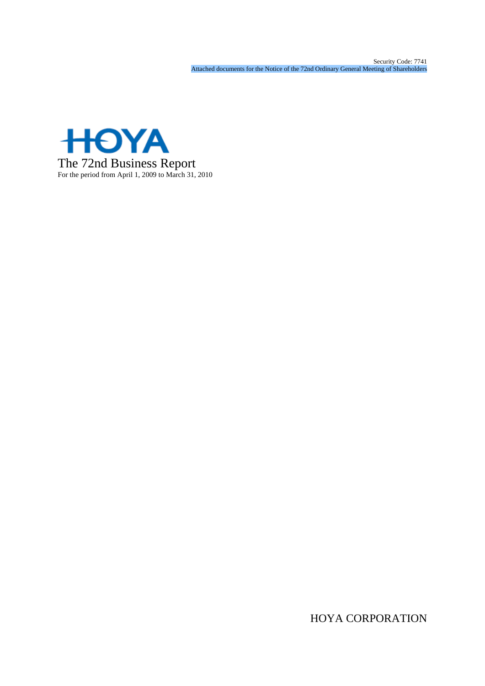Security Code: 7741 Attached documents for the Notice of the 72nd Ordinary General Meeting of Shareholders



HOYA CORPORATION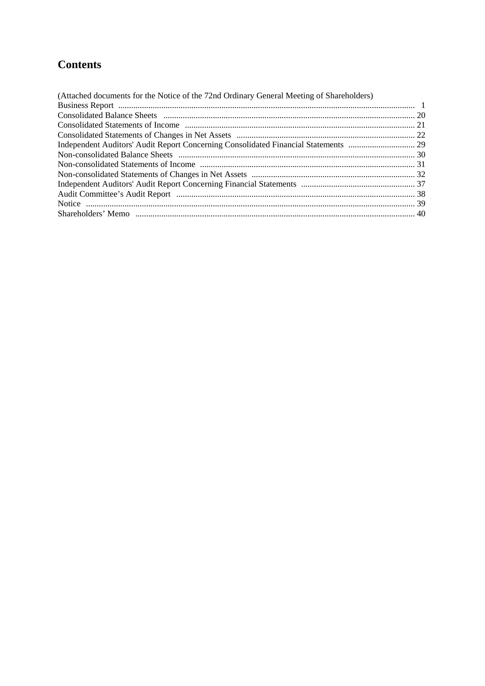# **Contents**

| (Attached documents for the Notice of the 72nd Ordinary General Meeting of Shareholders) |  |
|------------------------------------------------------------------------------------------|--|
|                                                                                          |  |
|                                                                                          |  |
|                                                                                          |  |
|                                                                                          |  |
|                                                                                          |  |
|                                                                                          |  |
|                                                                                          |  |
|                                                                                          |  |
|                                                                                          |  |
|                                                                                          |  |
|                                                                                          |  |
|                                                                                          |  |
|                                                                                          |  |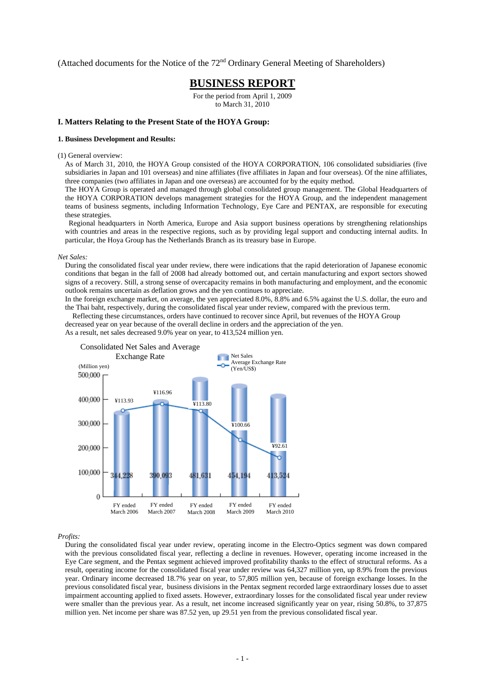(Attached documents for the Notice of the  $72<sup>nd</sup>$  Ordinary General Meeting of Shareholders)

# **BUSINESS REPORT**

For the period from April 1, 2009 to March 31, 2010

## **I. Matters Relating to the Present State of the HOYA Group:**

#### **1. Business Development and Results:**

(1) General overview:

As of March 31, 2010, the HOYA Group consisted of the HOYA CORPORATION, 106 consolidated subsidiaries (five subsidiaries in Japan and 101 overseas) and nine affiliates (five affiliates in Japan and four overseas). Of the nine affiliates, three companies (two affiliates in Japan and one overseas) are accounted for by the equity method.

The HOYA Group is operated and managed through global consolidated group management. The Global Headquarters of the HOYA CORPORATION develops management strategies for the HOYA Group, and the independent management teams of business segments, including Information Technology, Eye Care and PENTAX, are responsible for executing these strategies.

Regional headquarters in North America, Europe and Asia support business operations by strengthening relationships with countries and areas in the respective regions, such as by providing legal support and conducting internal audits. In particular, the Hoya Group has the Netherlands Branch as its treasury base in Europe.

#### *Net Sales:*

During the consolidated fiscal year under review, there were indications that the rapid deterioration of Japanese economic conditions that began in the fall of 2008 had already bottomed out, and certain manufacturing and export sectors showed signs of a recovery. Still, a strong sense of overcapacity remains in both manufacturing and employment, and the economic outlook remains uncertain as deflation grows and the yen continues to appreciate.

In the foreign exchange market, on average, the yen appreciated 8.0%, 8.8% and 6.5% against the U.S. dollar, the euro and the Thai baht, respectively, during the consolidated fiscal year under review, compared with the previous term.

Reflecting these circumstances, orders have continued to recover since April, but revenues of the HOYA Group

decreased year on year because of the overall decline in orders and the appreciation of the yen.

As a result, net sales decreased 9.0% year on year, to 413,524 million yen.



#### *Profits:*

During the consolidated fiscal year under review, operating income in the Electro-Optics segment was down compared with the previous consolidated fiscal year, reflecting a decline in revenues. However, operating income increased in the Eye Care segment, and the Pentax segment achieved improved profitability thanks to the effect of structural reforms. As a result, operating income for the consolidated fiscal year under review was 64,327 million yen, up 8.9% from the previous year. Ordinary income decreased 18.7% year on year, to 57,805 million yen, because of foreign exchange losses. In the previous consolidated fiscal year, business divisions in the Pentax segment recorded large extraordinary losses due to asset impairment accounting applied to fixed assets. However, extraordinary losses for the consolidated fiscal year under review were smaller than the previous year. As a result, net income increased significantly year on year, rising 50.8%, to 37,875 million yen. Net income per share was 87.52 yen, up 29.51 yen from the previous consolidated fiscal year.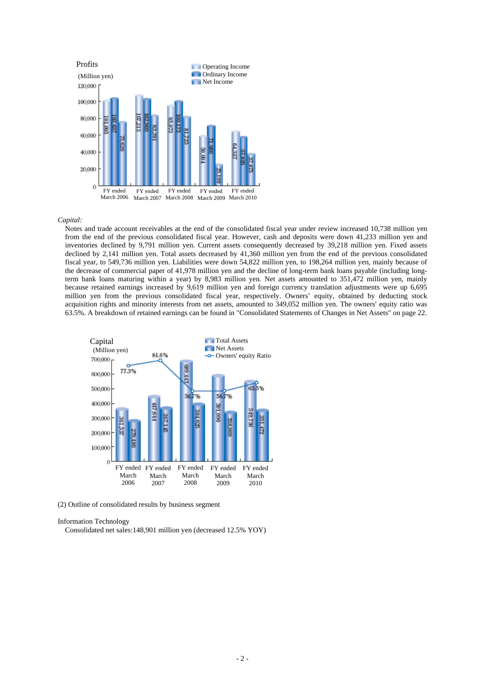

#### *Capital:*

Notes and trade account receivables at the end of the consolidated fiscal year under review increased 10,738 million yen from the end of the previous consolidated fiscal year. However, cash and deposits were down 41,233 million yen and inventories declined by 9,791 million yen. Current assets consequently decreased by 39,218 million yen. Fixed assets declined by 2,141 million yen. Total assets decreased by 41,360 million yen from the end of the previous consolidated fiscal year, to 549,736 million yen. Liabilities were down 54,822 million yen, to 198,264 million yen, mainly because of the decrease of commercial paper of 41,978 million yen and the decline of long-term bank loans payable (including longterm bank loans maturing within a year) by 8,983 million yen. Net assets amounted to 351,472 million yen, mainly because retained earnings increased by 9,619 million yen and foreign currency translation adjustments were up 6,695 million yen from the previous consolidated fiscal year, respectively. Owners' equity, obtained by deducting stock acquisition rights and minority interests from net assets, amounted to 349,052 million yen. The owners' equity ratio was 63.5%. A breakdown of retained earnings can be found in "Consolidated Statements of Changes in Net Assets" on page 22.



(2) Outline of consolidated results by business segment

#### Information Technology

Consolidated net sales:148,901 million yen (decreased 12.5% YOY)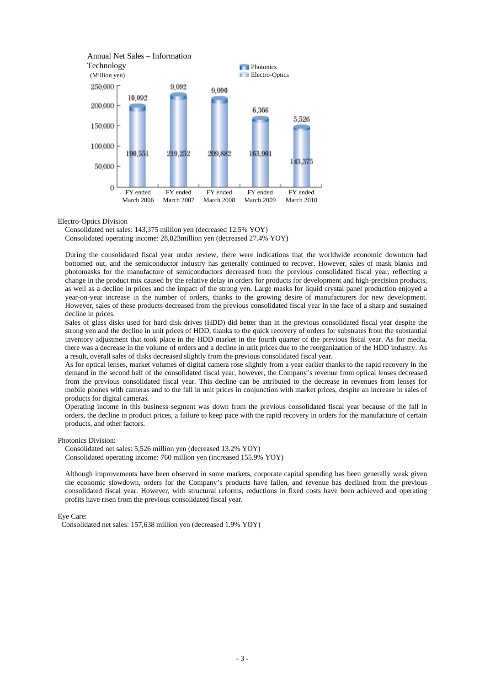

Electro-Optics Division

Consolidated net sales: 143,375 million yen (decreased 12.5% YOY)

Consolidated operating income: 28,823million yen (decreased 27.4% YOY)

During the consolidated fiscal year under review, there were indications that the worldwide economic downturn had bottomed out, and the semiconductor industry has generally continued to recover. However, sales of mask blanks and photomasks for the manufacture of semiconductors decreased from the previous consolidated fiscal year, reflecting a change in the product mix caused by the relative delay in orders for products for development and high-precision products, as well as a decline in prices and the impact of the strong yen. Large masks for liquid crystal panel production enjoyed a year-on-year increase in the number of orders, thanks to the growing desire of manufacturers for new development. However, sales of these products decreased from the previous consolidated fiscal year in the face of a sharp and sustained decline in prices.

Sales of glass disks used for hard disk drives (HDD) did better than in the previous consolidated fiscal year despite the strong yen and the decline in unit prices of HDD, thanks to the quick recovery of orders for substrates from the substantial inventory adjustment that took place in the HDD market in the fourth quarter of the previous fiscal year. As for media, there was a decrease in the volume of orders and a decline in unit prices due to the reorganization of the HDD industry. As a result, overall sales of disks decreased slightly from the previous consolidated fiscal year.

As for optical lenses, market volumes of digital camera rose slightly from a year earlier thanks to the rapid recovery in the demand in the second half of the consolidated fiscal year, however, the Company's revenue from optical lenses decreased from the previous consolidated fiscal year. This decline can be attributed to the decrease in revenues from lenses for mobile phones with cameras and to the fall in unit prices in conjunction with market prices, despite an increase in sales of products for digital cameras.

Operating income in this business segment was down from the previous consolidated fiscal year because of the fall in orders, the decline in product prices, a failure to keep pace with the rapid recovery in orders for the manufacture of certain products, and other factors.

Photonics Division:

Consolidated net sales: 5,526 million yen (decreased 13.2% YOY) Consolidated operating income: 760 million yen (increased 155.9% YOY)

Although improvements have been observed in some markets, corporate capital spending has been generally weak given the economic slowdown, orders for the Company's products have fallen, and revenue has declined from the previous consolidated fiscal year. However, with structural reforms, reductions in fixed costs have been achieved and operating profits have risen from the previous consolidated fiscal year.

Eye Care:

Consolidated net sales: 157,638 million yen (decreased 1.9% YOY)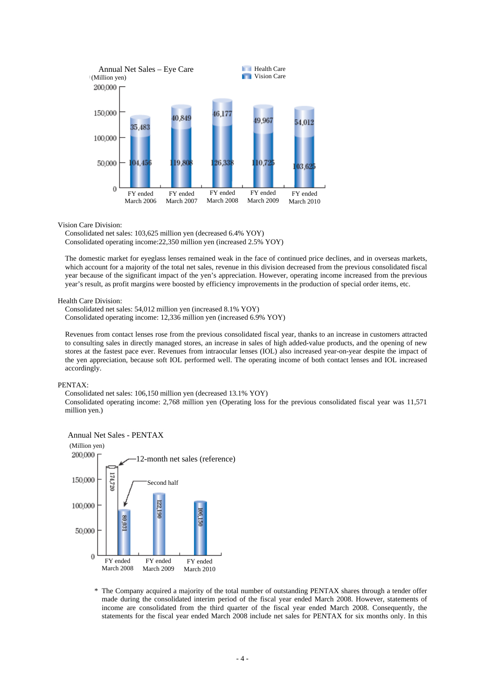

Vision Care Division:

Consolidated net sales: 103,625 million yen (decreased 6.4% YOY) Consolidated operating income:22,350 million yen (increased 2.5% YOY)

The domestic market for eyeglass lenses remained weak in the face of continued price declines, and in overseas markets, which account for a majority of the total net sales, revenue in this division decreased from the previous consolidated fiscal year because of the significant impact of the yen's appreciation. However, operating income increased from the previous year's result, as profit margins were boosted by efficiency improvements in the production of special order items, etc.

Health Care Division:

Consolidated net sales: 54,012 million yen (increased 8.1% YOY) Consolidated operating income: 12,336 million yen (increased 6.9% YOY)

Revenues from contact lenses rose from the previous consolidated fiscal year, thanks to an increase in customers attracted to consulting sales in directly managed stores, an increase in sales of high added-value products, and the opening of new stores at the fastest pace ever. Revenues from intraocular lenses (IOL) also increased year-on-year despite the impact of the yen appreciation, because soft IOL performed well. The operating income of both contact lenses and IOL increased accordingly.

#### PENTAX:

Consolidated net sales: 106,150 million yen (decreased 13.1% YOY) Consolidated operating income: 2,768 million yen (Operating loss for the previous consolidated fiscal year was 11,571 million yen.)





\* The Company acquired a majority of the total number of outstanding PENTAX shares through a tender offer made during the consolidated interim period of the fiscal year ended March 2008. However, statements of income are consolidated from the third quarter of the fiscal year ended March 2008. Consequently, the statements for the fiscal year ended March 2008 include net sales for PENTAX for six months only. In this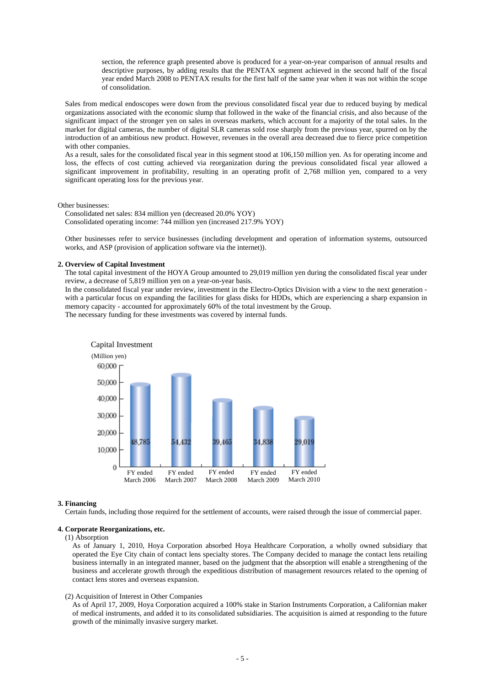section, the reference graph presented above is produced for a year-on-year comparison of annual results and descriptive purposes, by adding results that the PENTAX segment achieved in the second half of the fiscal year ended March 2008 to PENTAX results for the first half of the same year when it was not within the scope of consolidation.

Sales from medical endoscopes were down from the previous consolidated fiscal year due to reduced buying by medical organizations associated with the economic slump that followed in the wake of the financial crisis, and also because of the significant impact of the stronger yen on sales in overseas markets, which account for a majority of the total sales. In the market for digital cameras, the number of digital SLR cameras sold rose sharply from the previous year, spurred on by the introduction of an ambitious new product. However, revenues in the overall area decreased due to fierce price competition with other companies.

As a result, sales for the consolidated fiscal year in this segment stood at 106,150 million yen. As for operating income and loss, the effects of cost cutting achieved via reorganization during the previous consolidated fiscal year allowed a significant improvement in profitability, resulting in an operating profit of 2,768 million yen, compared to a very significant operating loss for the previous year.

Other businesses:

Consolidated net sales: 834 million yen (decreased 20.0% YOY) Consolidated operating income: 744 million yen (increased 217.9% YOY)

Other businesses refer to service businesses (including development and operation of information systems, outsourced works, and ASP (provision of application software via the internet)).

#### **2. Overview of Capital Investment**

The total capital investment of the HOYA Group amounted to 29,019 million yen during the consolidated fiscal year under review, a decrease of 5,819 million yen on a year-on-year basis.

In the consolidated fiscal year under review, investment in the Electro-Optics Division with a view to the next generation with a particular focus on expanding the facilities for glass disks for HDDs, which are experiencing a sharp expansion in memory capacity - accounted for approximately 60% of the total investment by the Group.

The necessary funding for these investments was covered by internal funds.



#### **3. Financing**

Certain funds, including those required for the settlement of accounts, were raised through the issue of commercial paper.

# **4. Corporate Reorganizations, etc.**

#### (1) Absorption

As of January 1, 2010, Hoya Corporation absorbed Hoya Healthcare Corporation, a wholly owned subsidiary that operated the Eye City chain of contact lens specialty stores. The Company decided to manage the contact lens retailing business internally in an integrated manner, based on the judgment that the absorption will enable a strengthening of the business and accelerate growth through the expeditious distribution of management resources related to the opening of contact lens stores and overseas expansion.

#### (2) Acquisition of Interest in Other Companies

As of April 17, 2009, Hoya Corporation acquired a 100% stake in Starion Instruments Corporation, a Californian maker of medical instruments, and added it to its consolidated subsidiaries. The acquisition is aimed at responding to the future growth of the minimally invasive surgery market.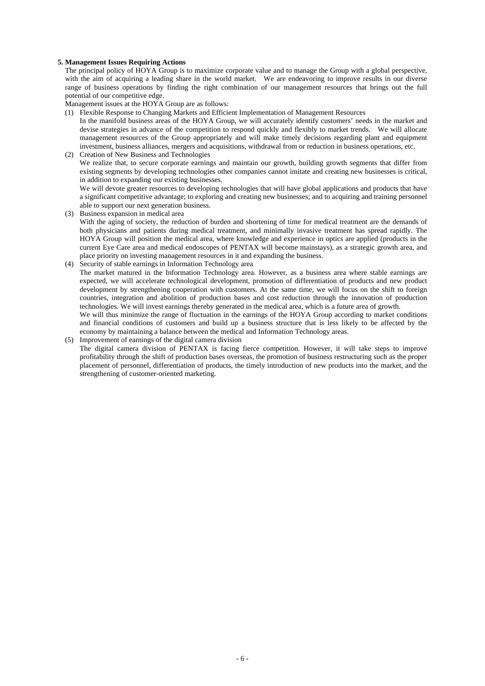### **5. Management Issues Requiring Actions**

The principal policy of HOYA Group is to maximize corporate value and to manage the Group with a global perspective, with the aim of acquiring a leading share in the world market. We are endeavoring to improve results in our diverse range of business operations by finding the right combination of our management resources that brings out the full potential of our competitive edge.

Management issues at the HOYA Group are as follows:

- (1) Flexible Response to Changing Markets and Efficient Implementation of Management Resources
- In the manifold business areas of the HOYA Group, we will accurately identify customers' needs in the market and devise strategies in advance of the competition to respond quickly and flexibly to market trends. We will allocate management resources of the Group appropriately and will make timely decisions regarding plant and equipment investment, business alliances, mergers and acquisitions, withdrawal from or reduction in business operations, etc.
- (2) Creation of New Business and Technologies We realize that, to secure corporate earnings and maintain our growth, building growth segments that differ from existing segments by developing technologies other companies cannot imitate and creating new businesses is critical, in addition to expanding our existing businesses.

We will devote greater resources to developing technologies that will have global applications and products that have a significant competitive advantage; to exploring and creating new businesses; and to acquiring and training personnel able to support our next generation business.

(3) Business expansion in medical area

With the aging of society, the reduction of burden and shortening of time for medical treatment are the demands of both physicians and patients during medical treatment, and minimally invasive treatment has spread rapidly. The HOYA Group will position the medical area, where knowledge and experience in optics are applied (products in the current Eye Care area and medical endoscopes of PENTAX will become mainstays), as a strategic growth area, and place priority on investing management resources in it and expanding the business.

(4) Security of stable earnings in Information Technology area

The market matured in the Information Technology area. However, as a business area where stable earnings are expected, we will accelerate technological development, promotion of differentiation of products and new product development by strengthening cooperation with customers. At the same time, we will focus on the shift to foreign countries, integration and abolition of production bases and cost reduction through the innovation of production technologies. We will invest earnings thereby generated in the medical area, which is a future area of growth.

We will thus minimize the range of fluctuation in the earnings of the HOYA Group according to market conditions and financial conditions of customers and build up a business structure that is less likely to be affected by the economy by maintaining a balance between the medical and Information Technology areas.

(5) Improvement of earnings of the digital camera division The digital camera division of PENTAX is facing fierce competition. However, it will take steps to improve profitability through the shift of production bases overseas, the promotion of business restructuring such as the proper placement of personnel, differentiation of products, the timely introduction of new products into the market, and the strengthening of customer-oriented marketing.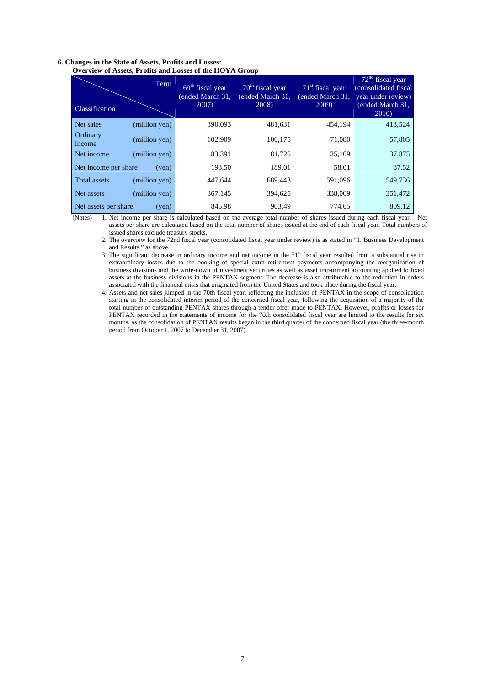| OVERVIEW OF ASSERS, I FOLKS AND LOSSES OF THE HOTA GROUP |                                                |                                                          |                                                           |                                                                                               |
|----------------------------------------------------------|------------------------------------------------|----------------------------------------------------------|-----------------------------------------------------------|-----------------------------------------------------------------------------------------------|
| Term<br>Classification                                   | $69th$ fiscal year<br>ended March 31,<br>2007) | 70 <sup>th</sup> fiscal year<br>ended March 31,<br>2008) | 71 <sup>st</sup> fiscal year<br>(ended March 31,<br>2009) | $72nd$ fiscal year<br>(consolidated fiscal<br>year under review)<br>(ended March 31,<br>2010) |
| (million yen)<br>Net sales                               | 390,093                                        | 481,631                                                  | 454,194                                                   | 413,524                                                                                       |
| Ordinary<br>(million yen)<br>income                      | 102,909                                        | 100,175                                                  | 71,080                                                    | 57,805                                                                                        |
| Net income<br>(million yen)                              | 83,391                                         | 81,725                                                   | 25,109                                                    | 37,875                                                                                        |
| Net income per share<br>(ven)                            | 193.50                                         | 189.01                                                   | 58.01                                                     | 87.52                                                                                         |
| (million yen)<br><b>Total assets</b>                     | 447,644                                        | 689,443                                                  | 591,096                                                   | 549,736                                                                                       |
| (million yen)<br>Net assets                              | 367,145                                        | 394,625                                                  | 338,009                                                   | 351,472                                                                                       |
| Net assets per share<br>(yen)                            | 845.98                                         | 903.49                                                   | 774.65                                                    | 809.12                                                                                        |

#### **6. Changes in the State of Assets, Profits and Losses: Overview of Assets, Profits and Losses of the HOYA Group**

(Notes) 1. Net income per share is calculated based on the average total number of shares issued during each fiscal year. Net assets per share are calculated based on the total number of shares issued at the end of each fiscal year. Total numbers of issued shares exclude treasury stocks.

2. The overview for the 72nd fiscal year (consolidated fiscal year under review) is as stated in "1. Business Development and Results," as above.

3. The significant decrease in ordinary income and net income in the  $71<sup>st</sup>$  fiscal year resulted from a substantial rise in extraordinary losses due to the booking of special extra retirement payments accompanying the reorganization of business divisions and the write-down of investment securities as well as asset impairment accounting applied to fixed assets at the business divisions in the PENTAX segment. The decrease is also attributable to the reduction in orders associated with the financial crisis that originated from the United States and took place during the fiscal year.

4. Assets and net sales jumped in the 70th fiscal year, reflecting the inclusion of PENTAX in the scope of consolidation starting in the consolidated interim period of the concerned fiscal year, following the acquisition of a majority of the total number of outstanding PENTAX shares through a tender offer made to PENTAX. However, profits or losses for PENTAX recorded in the statements of income for the 70th consolidated fiscal year are limited to the results for six months, as the consolidation of PENTAX results began in the third quarter of the concerned fiscal year (the three-month period from October 1, 2007 to December 31, 2007).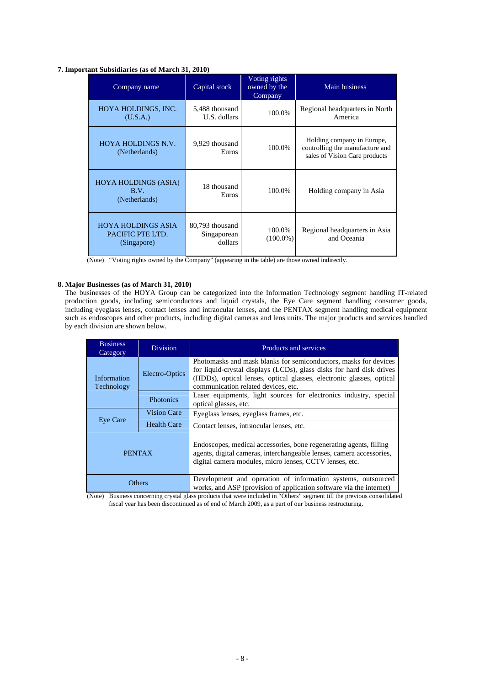### **7. Important Subsidiaries (as of March 31, 2010)**

| Company name                                                 | Capital stock                             | Voting rights<br>owned by the<br>Company | Main business                                                                                  |
|--------------------------------------------------------------|-------------------------------------------|------------------------------------------|------------------------------------------------------------------------------------------------|
| HOYA HOLDINGS, INC.<br>(U.S.A.)                              | 5,488 thousand<br>U.S. dollars            | 100.0%                                   | Regional headquarters in North<br>America                                                      |
| <b>HOYA HOLDINGS N.V.</b><br>(Netherlands)                   | 9,929 thousand<br>Euros                   | 100.0%                                   | Holding company in Europe,<br>controlling the manufacture and<br>sales of Vision Care products |
| <b>HOYA HOLDINGS (ASIA)</b><br>B.V.<br>(Netherlands)         | 18 thousand<br>Euros                      | 100.0%                                   | Holding company in Asia                                                                        |
| <b>HOYA HOLDINGS ASIA</b><br>PACIFIC PTE LTD.<br>(Singapore) | 80,793 thousand<br>Singaporean<br>dollars | 100.0%<br>$(100.0\%)$                    | Regional headquarters in Asia<br>and Oceania                                                   |

(Note) "Voting rights owned by the Company" (appearing in the table) are those owned indirectly.

# **8. Major Businesses (as of March 31, 2010)**

The businesses of the HOYA Group can be categorized into the Information Technology segment handling IT-related production goods, including semiconductors and liquid crystals, the Eye Care segment handling consumer goods, including eyeglass lenses, contact lenses and intraocular lenses, and the PENTAX segment handling medical equipment such as endoscopes and other products, including digital cameras and lens units. The major products and services handled by each division are shown below.

| <b>Business</b><br>Category | <b>Division</b>    | Products and services                                                                                                                                                                                                                                   |
|-----------------------------|--------------------|---------------------------------------------------------------------------------------------------------------------------------------------------------------------------------------------------------------------------------------------------------|
| Information<br>Technology   | Electro-Optics     | Photomasks and mask blanks for semiconductors, masks for devices<br>for liquid-crystal displays (LCDs), glass disks for hard disk drives<br>(HDDs), optical lenses, optical glasses, electronic glasses, optical<br>communication related devices, etc. |
|                             | <b>Photonics</b>   | Laser equipments, light sources for electronics industry, special<br>optical glasses, etc.                                                                                                                                                              |
| Eye Care                    | <b>Vision Care</b> | Eyeglass lenses, eyeglass frames, etc.                                                                                                                                                                                                                  |
|                             | Health Care        | Contact lenses, intraocular lenses, etc.                                                                                                                                                                                                                |
| <b>PENTAX</b>               |                    | Endoscopes, medical accessories, bone regenerating agents, filling<br>agents, digital cameras, interchangeable lenses, camera accessories,<br>digital camera modules, micro lenses, CCTV lenses, etc.                                                   |
| <b>Others</b>               |                    | Development and operation of information systems, outsourced<br>works, and ASP (provision of application software via the internet)                                                                                                                     |

(Note) Business concerning crystal glass products that were included in "Others" segment till the previous consolidated fiscal year has been discontinued as of end of March 2009, as a part of our business restructuring.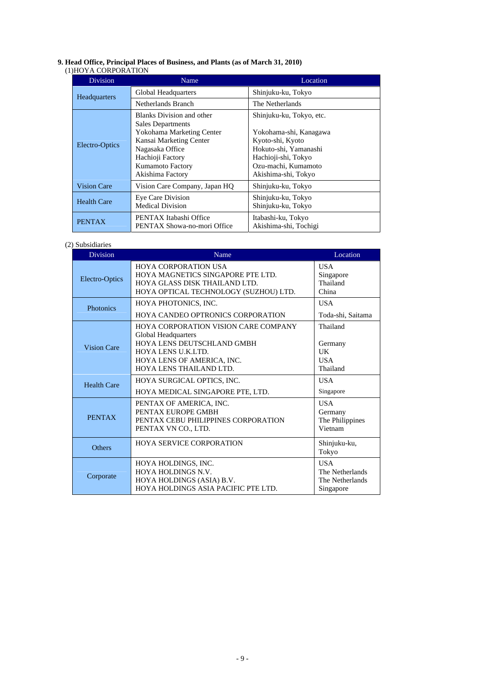## **9. Head Office, Principal Places of Business, and Plants (as of March 31, 2010)**

#### (1)HOYA CORPORATION

| <b>Division</b>                                                    | Name                                                                                                                                                                                                | Location                                                                                                                                                             |
|--------------------------------------------------------------------|-----------------------------------------------------------------------------------------------------------------------------------------------------------------------------------------------------|----------------------------------------------------------------------------------------------------------------------------------------------------------------------|
| Headquarters                                                       | Global Headquarters                                                                                                                                                                                 | Shinjuku-ku, Tokyo                                                                                                                                                   |
|                                                                    | Netherlands Branch                                                                                                                                                                                  | The Netherlands                                                                                                                                                      |
| Electro-Optics                                                     | <b>Blanks Division and other</b><br>Sales Departments<br>Yokohama Marketing Center<br>Kansai Marketing Center<br>Nagasaka Office<br>Hachioji Factory<br><b>Kumamoto Factory</b><br>Akishima Factory | Shinjuku-ku, Tokyo, etc.<br>Yokohama-shi, Kanagawa<br>Kyoto-shi, Kyoto<br>Hokuto-shi, Yamanashi<br>Hachioji-shi, Tokyo<br>Ozu-machi, Kumamoto<br>Akishima-shi, Tokyo |
| <b>Vision Care</b>                                                 | Vision Care Company, Japan HQ                                                                                                                                                                       | Shinjuku-ku, Tokyo                                                                                                                                                   |
| Eye Care Division<br><b>Health Care</b><br><b>Medical Division</b> |                                                                                                                                                                                                     | Shinjuku-ku, Tokyo<br>Shinjuku-ku, Tokyo                                                                                                                             |
| <b>PENTAX</b>                                                      | PENTAX Itabashi Office<br>PENTAX Showa-no-mori Office                                                                                                                                               | Itabashi-ku, Tokyo<br>Akishima-shi, Tochigi                                                                                                                          |

# (2) Subsidiaries

| <b>Division</b>    | Name                                                                                                                                                                     | Location                                                      |
|--------------------|--------------------------------------------------------------------------------------------------------------------------------------------------------------------------|---------------------------------------------------------------|
| Electro-Optics     | <b>HOYA CORPORATION USA</b><br>HOYA MAGNETICS SINGAPORE PTE LTD.<br>HOYA GLASS DISK THAILAND LTD.<br>HOYA OPTICAL TECHNOLOGY (SUZHOU) LTD.                               | <b>USA</b><br>Singapore<br>Thailand<br>China                  |
| <b>Photonics</b>   | HOYA PHOTONICS, INC.<br>HOYA CANDEO OPTRONICS CORPORATION                                                                                                                | <b>USA</b><br>Toda-shi, Saitama                               |
| <b>Vision Care</b> | HOYA CORPORATION VISION CARE COMPANY<br>Global Headquarters<br>HOYA LENS DEUTSCHLAND GMBH<br>HOYA LENS U.K.LTD.<br>HOYA LENS OF AMERICA, INC.<br>HOYA LENS THAILAND LTD. | Thailand<br>Germany<br>UK<br><b>USA</b><br>Thailand           |
| <b>Health Care</b> | HOYA SURGICAL OPTICS, INC.<br>HOYA MEDICAL SINGAPORE PTE, LTD.                                                                                                           | <b>USA</b><br>Singapore                                       |
| <b>PENTAX</b>      | PENTAX OF AMERICA, INC.<br>PENTAX EUROPE GMBH<br>PENTAX CEBU PHILIPPINES CORPORATION<br>PENTAX VN CO., LTD.                                                              | <b>USA</b><br>Germany<br>The Philippines<br>Vietnam           |
| <b>Others</b>      | <b>HOYA SERVICE CORPORATION</b>                                                                                                                                          | Shinjuku-ku,<br>Tokyo                                         |
| Corporate          | HOYA HOLDINGS, INC.<br><b>HOYA HOLDINGS N.V.</b><br>HOYA HOLDINGS (ASIA) B.V.<br>HOYA HOLDINGS ASIA PACIFIC PTE LTD.                                                     | <b>USA</b><br>The Netherlands<br>The Netherlands<br>Singapore |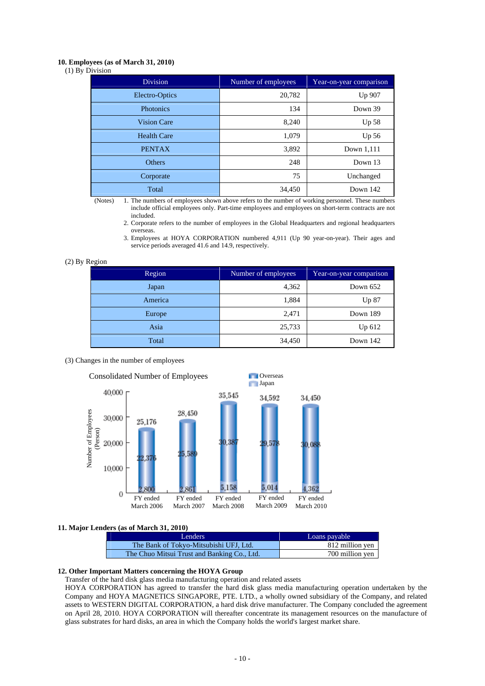### **10. Employees (as of March 31, 2010)**

(1) By Division

| <b>Division</b>    | Number of employees | Year-on-year comparison |
|--------------------|---------------------|-------------------------|
| Electro-Optics     | 20,782              | Up 907                  |
| Photonics          | 134                 | Down 39                 |
| <b>Vision Care</b> | 8,240               | Up <sub>58</sub>        |
| <b>Health Care</b> | 1,079               | Up 56                   |
| <b>PENTAX</b>      | 3,892               | Down 1,111              |
| Others             | 248                 | Down 13                 |
| Corporate          | 75                  | Unchanged               |
| Total              | 34,450              | Down 142                |

(Notes) 1. The numbers of employees shown above refers to the number of working personnel. These numbers include official employees only. Part-time employees and employees on short-term contracts are not included.

2. Corporate refers to the number of employees in the Global Headquarters and regional headquarters overseas.

#### (2) By Region

| Region  | Number of employees | Year-on-year comparison |
|---------|---------------------|-------------------------|
| Japan   | 4,362               | Down $652$              |
| America | 1,884               | Up 87                   |
| Europe  | 2,471               | Down 189                |
| Asia    | 25,733              | Up 612                  |
| Total   | 34,450              | Down 142                |

#### (3) Changes in the number of employees



#### **11. Major Lenders (as of March 31, 2010)**

| Lenders                                     | Loans payable   |
|---------------------------------------------|-----------------|
| The Bank of Tokyo-Mitsubishi UFJ, Ltd.      | 812 million yen |
| The Chuo Mitsui Trust and Banking Co., Ltd. | 700 million yen |

### **12. Other Important Matters concerning the HOYA Group**

Transfer of the hard disk glass media manufacturing operation and related assets

HOYA CORPORATION has agreed to transfer the hard disk glass media manufacturing operation undertaken by the Company and HOYA MAGNETICS SINGAPORE, PTE. LTD., a wholly owned subsidiary of the Company, and related assets to WESTERN DIGITAL CORPORATION, a hard disk drive manufacturer. The Company concluded the agreement on April 28, 2010. HOYA CORPORATION will thereafter concentrate its management resources on the manufacture of glass substrates for hard disks, an area in which the Company holds the world's largest market share.

<sup>3.</sup> Employees at HOYA CORPORATION numbered 4,911 (Up 90 year-on-year). Their ages and service periods averaged 41.6 and 14.9, respectively.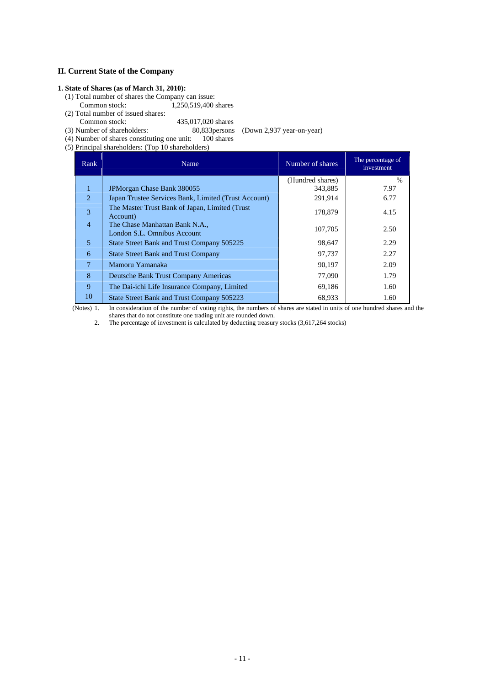# **II. Current State of the Company**

# **1. State of Shares (as of March 31, 2010):**

- (1) Total number of shares the Company can issue: Common stock: 1,250,519,400 shares
- (2) Total number of issued shares: Common stock: 435,017,020 shares<br>(3) Number of shareholders: 80,833 persons
	- 80,833 persons (Down 2,937 year-on-year)<br>: 100 shares
- $(4)$  Number of shares constituting one unit:
- (5) Principal shareholders: (Top 10 shareholders)

| Rank           | Name                                                          | Number of shares | The percentage of<br>investment |
|----------------|---------------------------------------------------------------|------------------|---------------------------------|
|                |                                                               | (Hundred shares) | $\frac{0}{0}$                   |
| $\mathbf{1}$   | JPM organ Chase Bank 380055                                   | 343,885          | 7.97                            |
| 2              | Japan Trustee Services Bank, Limited (Trust Account)          | 291,914          | 6.77                            |
| 3              | The Master Trust Bank of Japan, Limited (Trust)<br>Account)   | 178,879          | 4.15                            |
| $\overline{4}$ | The Chase Manhattan Bank N.A.,<br>London S.L. Omnibus Account | 107,705          | 2.50                            |
| 5              | State Street Bank and Trust Company 505225                    | 98,647           | 2.29                            |
| 6              | <b>State Street Bank and Trust Company</b>                    | 97,737           | 2.27                            |
| 7              | Mamoru Yamanaka                                               | 90,197           | 2.09                            |
| 8              | Deutsche Bank Trust Company Americas                          | 77,090           | 1.79                            |
| 9              | The Dai-ichi Life Insurance Company, Limited                  | 69,186           | 1.60                            |
| 10             | State Street Bank and Trust Company 505223                    | 68,933           | 1.60                            |

(Notes) 1. In consideration of the number of voting rights, the numbers of shares are stated in units of one hundred shares and the shares that do not constitute one trading unit are rounded down.

2. The percentage of investment is calculated by deducting treasury stocks (3,617,264 stocks)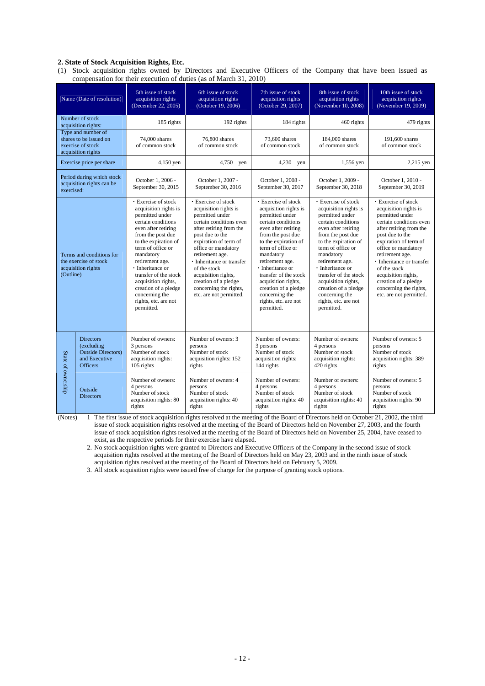#### **2. State of Stock Acquisition Rights, Etc.**

(1) Stock acquisition rights owned by Directors and Executive Officers of the Company that have been issued as compensation for their execution of duties (as of March 31, 2010)

|                                        | Name (Date of resolution)                                                                        | 5th issue of stock<br>acquisition rights<br>(December 22, 2005)                                                                                                                                                                                                                                                                                                    | 6th issue of stock<br>acquisition rights<br>(October 19, 2006)                                                                                                                                                                                                                                                                                                    | 7th issue of stock<br>acquisition rights<br>(October 29, 2007)                                                                                                                                                                                                                                                                                                          | 8th issue of stock<br>acquisition rights<br>(November 10, 2008)                                                                                                                                                                                                                                                                                                    | 10th issue of stock<br>acquisition rights<br>(November 19, 2009)                                                                                                                                                                                                                                                                                                  |
|----------------------------------------|--------------------------------------------------------------------------------------------------|--------------------------------------------------------------------------------------------------------------------------------------------------------------------------------------------------------------------------------------------------------------------------------------------------------------------------------------------------------------------|-------------------------------------------------------------------------------------------------------------------------------------------------------------------------------------------------------------------------------------------------------------------------------------------------------------------------------------------------------------------|-------------------------------------------------------------------------------------------------------------------------------------------------------------------------------------------------------------------------------------------------------------------------------------------------------------------------------------------------------------------------|--------------------------------------------------------------------------------------------------------------------------------------------------------------------------------------------------------------------------------------------------------------------------------------------------------------------------------------------------------------------|-------------------------------------------------------------------------------------------------------------------------------------------------------------------------------------------------------------------------------------------------------------------------------------------------------------------------------------------------------------------|
| Number of stock<br>acquisition rights: |                                                                                                  | 185 rights                                                                                                                                                                                                                                                                                                                                                         | 192 rights                                                                                                                                                                                                                                                                                                                                                        | 184 rights                                                                                                                                                                                                                                                                                                                                                              | 460 rights                                                                                                                                                                                                                                                                                                                                                         | 479 rights                                                                                                                                                                                                                                                                                                                                                        |
|                                        | Type and number of<br>shares to be issued on<br>exercise of stock<br>acquisition rights          | 74,000 shares<br>of common stock                                                                                                                                                                                                                                                                                                                                   | 76,800 shares<br>of common stock                                                                                                                                                                                                                                                                                                                                  | 73.600 shares<br>of common stock                                                                                                                                                                                                                                                                                                                                        | 184,000 shares<br>of common stock                                                                                                                                                                                                                                                                                                                                  | 191,600 shares<br>of common stock                                                                                                                                                                                                                                                                                                                                 |
|                                        | Exercise price per share                                                                         | 4,150 yen                                                                                                                                                                                                                                                                                                                                                          | 4,750 yen                                                                                                                                                                                                                                                                                                                                                         | 4,230 ven                                                                                                                                                                                                                                                                                                                                                               | 1,556 yen                                                                                                                                                                                                                                                                                                                                                          | 2,215 yen                                                                                                                                                                                                                                                                                                                                                         |
| exercised:                             | Period during which stock<br>acquisition rights can be                                           | October 1, 2006 -<br>September 30, 2015                                                                                                                                                                                                                                                                                                                            | October 1, 2007 -<br>September 30, 2016                                                                                                                                                                                                                                                                                                                           | October 1, 2008 -<br>September 30, 2017                                                                                                                                                                                                                                                                                                                                 | October 1, 2009 -<br>September 30, 2018                                                                                                                                                                                                                                                                                                                            | October 1, 2010 -<br>September 30, 2019                                                                                                                                                                                                                                                                                                                           |
| (Outline)                              | Terms and conditions for<br>the exercise of stock<br>acquisition rights                          | · Exercise of stock<br>acquisition rights is<br>permitted under<br>certain conditions<br>even after retiring<br>from the post due<br>to the expiration of<br>term of office or<br>mandatory<br>retirement age.<br>· Inheritance or<br>transfer of the stock<br>acquisition rights,<br>creation of a pledge<br>concerning the<br>rights, etc. are not<br>permitted. | <b>Exercise of stock</b><br>acquisition rights is<br>permitted under<br>certain conditions even<br>after retiring from the<br>post due to the<br>expiration of term of<br>office or mandatory<br>retirement age.<br>· Inheritance or transfer<br>of the stock<br>acquisition rights,<br>creation of a pledge<br>concerning the rights,<br>etc. are not permitted. | <b>Exercise of stock</b><br>acquisition rights is<br>permitted under<br>certain conditions<br>even after retiring<br>from the post due<br>to the expiration of<br>term of office or<br>mandatory<br>retirement age.<br>· Inheritance or<br>transfer of the stock<br>acquisition rights,<br>creation of a pledge<br>concerning the<br>rights, etc. are not<br>permitted. | · Exercise of stock<br>acquisition rights is<br>permitted under<br>certain conditions<br>even after retiring<br>from the post due<br>to the expiration of<br>term of office or<br>mandatory<br>retirement age.<br>· Inheritance or<br>transfer of the stock<br>acquisition rights,<br>creation of a pledge<br>concerning the<br>rights, etc. are not<br>permitted. | <b>Exercise of stock</b><br>acquisition rights is<br>permitted under<br>certain conditions even<br>after retiring from the<br>post due to the<br>expiration of term of<br>office or mandatory<br>retirement age.<br>· Inheritance or transfer<br>of the stock<br>acquisition rights,<br>creation of a pledge<br>concerning the rights,<br>etc. are not permitted. |
| State of ownership                     | <b>Directors</b><br>(excluding<br><b>Outside Directors</b> )<br>and Executive<br><b>Officers</b> | Number of owners:<br>3 persons<br>Number of stock<br>acquisition rights:<br>105 rights                                                                                                                                                                                                                                                                             | Number of owners: 3<br>persons<br>Number of stock<br>acquisition rights: 152<br>rights                                                                                                                                                                                                                                                                            | Number of owners:<br>3 persons<br>Number of stock<br>acquisition rights:<br>144 rights                                                                                                                                                                                                                                                                                  | Number of owners:<br>4 persons<br>Number of stock<br>acquisition rights:<br>420 rights                                                                                                                                                                                                                                                                             | Number of owners: 5<br>persons<br>Number of stock<br>acquisition rights: 389<br>rights                                                                                                                                                                                                                                                                            |
|                                        | Outside<br><b>Directors</b>                                                                      | Number of owners:<br>4 persons<br>Number of stock<br>acquisition rights: 80<br>rights                                                                                                                                                                                                                                                                              | Number of owners: 4<br>persons<br>Number of stock<br>acquisition rights: 40<br>rights                                                                                                                                                                                                                                                                             | Number of owners:<br>4 persons<br>Number of stock<br>acquisition rights: 40<br>rights                                                                                                                                                                                                                                                                                   | Number of owners:<br>4 persons<br>Number of stock<br>acquisition rights: 40<br>rights                                                                                                                                                                                                                                                                              | Number of owners: 5<br>persons<br>Number of stock<br>acquisition rights: 90<br>rights                                                                                                                                                                                                                                                                             |

(Notes) 1 The first issue of stock acquisition rights resolved at the meeting of the Board of Directors held on October 21, 2002, the third issue of stock acquisition rights resolved at the meeting of the Board of Directors held on November 27, 2003, and the fourth issue of stock acquisition rights resolved at the meeting of the Board of Directors held on November 25, 2004, have ceased to exist, as the respective periods for their exercise have elapsed.

2. No stock acquisition rights were granted to Directors and Executive Officers of the Company in the second issue of stock acquisition rights resolved at the meeting of the Board of Directors held on May 23, 2003 and in the ninth issue of stock acquisition rights resolved at the meeting of the Board of Directors held on February 5, 2009.

3. All stock acquisition rights were issued free of charge for the purpose of granting stock options.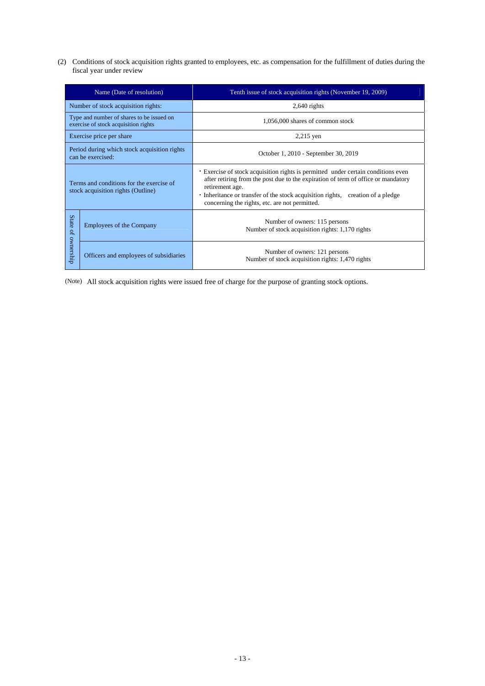(2) Conditions of stock acquisition rights granted to employees, etc. as compensation for the fulfillment of duties during the fiscal year under review

| Name (Date of resolution)                                                         |                                        | Tenth issue of stock acquisition rights (November 19, 2009)                                                                                                                                                                                                                                                                  |
|-----------------------------------------------------------------------------------|----------------------------------------|------------------------------------------------------------------------------------------------------------------------------------------------------------------------------------------------------------------------------------------------------------------------------------------------------------------------------|
| Number of stock acquisition rights:                                               |                                        | $2,640$ rights                                                                                                                                                                                                                                                                                                               |
| Type and number of shares to be issued on<br>exercise of stock acquisition rights |                                        | 1,056,000 shares of common stock                                                                                                                                                                                                                                                                                             |
|                                                                                   | Exercise price per share               | $2,215$ yen                                                                                                                                                                                                                                                                                                                  |
| Period during which stock acquisition rights<br>can be exercised:                 |                                        | October 1, 2010 - September 30, 2019                                                                                                                                                                                                                                                                                         |
| Terms and conditions for the exercise of<br>stock acquisition rights (Outline)    |                                        | Exercise of stock acquisition rights is permitted under certain conditions even<br>after retiring from the post due to the expiration of term of office or mandatory<br>retirement age.<br>• Inheritance or transfer of the stock acquisition rights, creation of a pledge<br>concerning the rights, etc. are not permitted. |
| State of ownership                                                                | <b>Employees of the Company</b>        | Number of owners: 115 persons<br>Number of stock acquisition rights: 1,170 rights                                                                                                                                                                                                                                            |
|                                                                                   | Officers and employees of subsidiaries | Number of owners: 121 persons<br>Number of stock acquisition rights: 1,470 rights                                                                                                                                                                                                                                            |

(Note) All stock acquisition rights were issued free of charge for the purpose of granting stock options.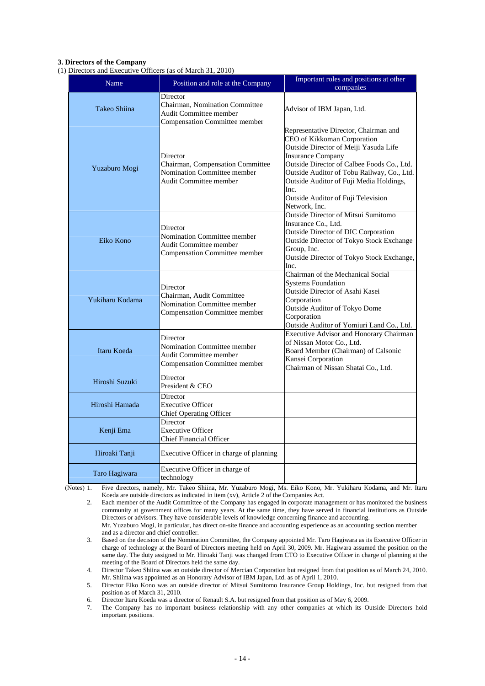### **3. Directors of the Company**

(1) Directors and Executive Officers (as of March 31, 2010)

| Name            | Position and role at the Company                                                                             | Important roles and positions at other<br>companies                                                                                                                                                                                                                                                                                             |
|-----------------|--------------------------------------------------------------------------------------------------------------|-------------------------------------------------------------------------------------------------------------------------------------------------------------------------------------------------------------------------------------------------------------------------------------------------------------------------------------------------|
| Takeo Shiina    | Director<br>Chairman, Nomination Committee<br>Audit Committee member<br>Compensation Committee member        | Advisor of IBM Japan, Ltd.                                                                                                                                                                                                                                                                                                                      |
| Yuzaburo Mogi   | Director<br>Chairman, Compensation Committee<br>Nomination Committee member<br><b>Audit Committee member</b> | Representative Director, Chairman and<br>CEO of Kikkoman Corporation<br>Outside Director of Meiji Yasuda Life<br><b>Insurance Company</b><br>Outside Director of Calbee Foods Co., Ltd.<br>Outside Auditor of Tobu Railway, Co., Ltd.<br>Outside Auditor of Fuji Media Holdings,<br>Inc.<br>Outside Auditor of Fuji Television<br>Network. Inc. |
| Eiko Kono       | Director<br>Nomination Committee member<br>Audit Committee member<br><b>Compensation Committee member</b>    | <b>Outside Director of Mitsui Sumitomo</b><br>Insurance Co., Ltd.<br><b>Outside Director of DIC Corporation</b><br>Outside Director of Tokyo Stock Exchange<br>Group, Inc.<br>Outside Director of Tokyo Stock Exchange,<br>Inc.                                                                                                                 |
| Yukiharu Kodama | Director<br>Chairman, Audit Committee<br><b>Nomination Committee member</b><br>Compensation Committee member | Chairman of the Mechanical Social<br><b>Systems Foundation</b><br>Outside Director of Asahi Kasei<br>Corporation<br><b>Outside Auditor of Tokyo Dome</b><br>Corporation<br>Outside Auditor of Yomiuri Land Co., Ltd.                                                                                                                            |
| Itaru Koeda     | Director<br>Nomination Committee member<br>Audit Committee member<br><b>Compensation Committee member</b>    | <b>Executive Advisor and Honorary Chairman</b><br>of Nissan Motor Co., Ltd.<br>Board Member (Chairman) of Calsonic<br>Kansei Corporation<br>Chairman of Nissan Shatai Co., Ltd.                                                                                                                                                                 |
| Hiroshi Suzuki  | Director<br>President & CEO                                                                                  |                                                                                                                                                                                                                                                                                                                                                 |
| Hiroshi Hamada  | Director<br><b>Executive Officer</b><br>Chief Operating Officer                                              |                                                                                                                                                                                                                                                                                                                                                 |
| Kenji Ema       | Director<br><b>Executive Officer</b><br><b>Chief Financial Officer</b>                                       |                                                                                                                                                                                                                                                                                                                                                 |
| Hiroaki Tanji   | Executive Officer in charge of planning                                                                      |                                                                                                                                                                                                                                                                                                                                                 |
| Taro Hagiwara   | Executive Officer in charge of<br>technology                                                                 |                                                                                                                                                                                                                                                                                                                                                 |

(Notes) 1. Five directors, namely, Mr. Takeo Shiina, Mr. Yuzaburo Mogi, Ms. Eiko Kono, Mr. Yukiharu Kodama, and Mr. Itaru Koeda are outside directors as indicated in item (xv), Article 2 of the Companies Act.

2. Each member of the Audit Committee of the Company has engaged in corporate management or has monitored the business community at government offices for many years. At the same time, they have served in financial institutions as Outside Directors or advisors. They have considerable levels of knowledge concerning finance and accounting. Mr. Yuzaburo Mogi, in particular, has direct on-site finance and accounting experience as an accounting section member

and as a director and chief controller. 3. Based on the decision of the Nomination Committee, the Company appointed Mr. Taro Hagiwara as its Executive Officer in charge of technology at the Board of Directors meeting held on April 30, 2009. Mr. Hagiwara assumed the position on the same day. The duty assigned to Mr. Hiroaki Tanji was changed from CTO to Executive Officer in charge of planning at the meeting of the Board of Directors held the same day.

4. Director Takeo Shiina was an outside director of Mercian Corporation but resigned from that position as of March 24, 2010. Mr. Shiima was appointed as an Honorary Advisor of IBM Japan, Ltd. as of April 1, 2010.

5. Director Eiko Kono was an outside director of Mitsui Sumitomo Insurance Group Holdings, Inc. but resigned from that position as of March 31, 2010.

6. Director Itaru Koeda was a director of Renault S.A. but resigned from that position as of May 6, 2009.

7. The Company has no important business relationship with any other companies at which its Outside Directors hold important positions.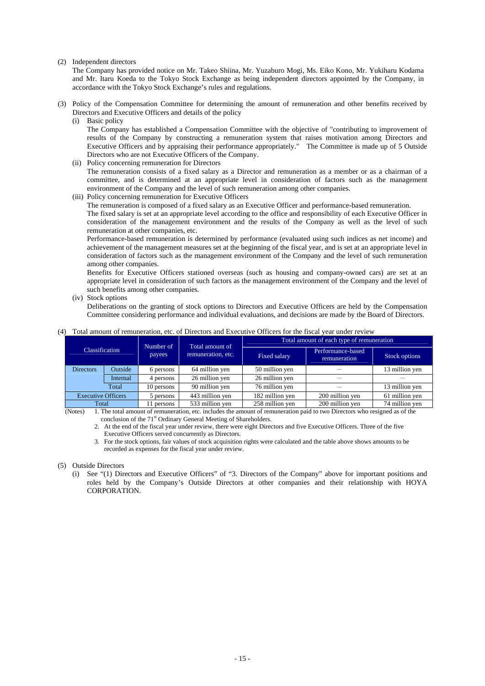#### (2) Independent directors

The Company has provided notice on Mr. Takeo Shiina, Mr. Yuzaburo Mogi, Ms. Eiko Kono, Mr. Yukiharu Kodama and Mr. Itaru Koeda to the Tokyo Stock Exchange as being independent directors appointed by the Company, in accordance with the Tokyo Stock Exchange's rules and regulations.

- (3) Policy of the Compensation Committee for determining the amount of remuneration and other benefits received by Directors and Executive Officers and details of the policy
	- (i) Basic policy

The Company has established a Compensation Committee with the objective of "contributing to improvement of results of the Company by constructing a remuneration system that raises motivation among Directors and Executive Officers and by appraising their performance appropriately." The Committee is made up of 5 Outside Directors who are not Executive Officers of the Company.

(ii) Policy concerning remuneration for Directors

The remuneration consists of a fixed salary as a Director and remuneration as a member or as a chairman of a committee, and is determined at an appropriate level in consideration of factors such as the management environment of the Company and the level of such remuneration among other companies.

(iii) Policy concerning remuneration for Executive Officers

The remuneration is composed of a fixed salary as an Executive Officer and performance-based remuneration.

The fixed salary is set at an appropriate level according to the office and responsibility of each Executive Officer in consideration of the management environment and the results of the Company as well as the level of such remuneration at other companies, etc.

Performance-based remuneration is determined by performance (evaluated using such indices as net income) and achievement of the management measures set at the beginning of the fiscal year, and is set at an appropriate level in consideration of factors such as the management environment of the Company and the level of such remuneration among other companies.

Benefits for Executive Officers stationed overseas (such as housing and company-owned cars) are set at an appropriate level in consideration of such factors as the management environment of the Company and the level of such benefits among other companies.

(iv) Stock options

Deliberations on the granting of stock options to Directors and Executive Officers are held by the Compensation Committee considering performance and individual evaluations, and decisions are made by the Board of Directors.

#### (4) Total amount of remuneration, etc. of Directors and Executive Officers for the fiscal year under review

| <b>Classification</b>     |          | Number of  | Total amount of                    | Total amount of each type of remuneration |                                                                                        |                |  |
|---------------------------|----------|------------|------------------------------------|-------------------------------------------|----------------------------------------------------------------------------------------|----------------|--|
|                           |          | payees     | remuneration, etc.<br>Fixed salary |                                           | Performance-based<br>remuneration                                                      | Stock options  |  |
| <b>Directors</b>          | Outside  | 6 persons  | 64 million yen                     | 50 million yen                            |                                                                                        | 13 million yen |  |
|                           | Internal | 4 persons  | 26 million yen                     | 26 million yen                            |                                                                                        |                |  |
| Total                     |          | 10 persons | 90 million yen                     | 76 million yen                            |                                                                                        | 13 million yen |  |
| <b>Executive Officers</b> |          | 5 persons  | 443 million yen                    | 182 million yen                           | 200 million yen                                                                        | 61 million yen |  |
| Total                     |          | 11 persons | 533 million yen<br>.               | 258 million yen                           | 200 million yen<br>$\overline{\phantom{a}}$ . The contract of $\overline{\phantom{a}}$ | 74 million ven |  |

(Notes) 1. The total amount of remuneration, etc. includes the amount of remuneration paid to two Directors who resigned as of the

conclusion of the 71<sup>st</sup> Ordinary General Meeting of Shareholders.

- 2. At the end of the fiscal year under review, there were eight Directors and five Executive Officers. Three of the five Executive Officers served concurrently as Directors.
- 3. For the stock options, fair values of stock acquisition rights were calculated and the table above shows amounts to be recorded as expenses for the fiscal year under review.

### (5) Outside Directors

(i) See "(1) Directors and Executive Officers" of "3. Directors of the Company" above for important positions and roles held by the Company's Outside Directors at other companies and their relationship with HOYA CORPORATION.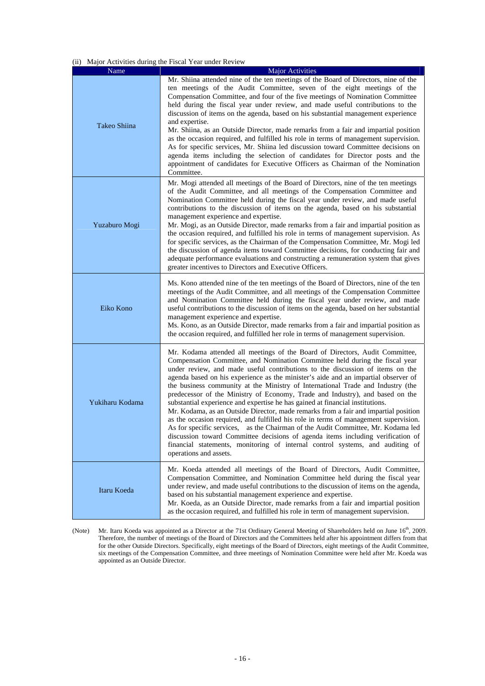## (ii) Major Activities during the Fiscal Year under Review

| Name            | <b>Major Activities</b>                                                                                                                                                                                                                                                                                                                                                                                                                                                                                                                                                                                                                                                                                                                                                                                                                                                                                                                                                                                                                                   |  |  |
|-----------------|-----------------------------------------------------------------------------------------------------------------------------------------------------------------------------------------------------------------------------------------------------------------------------------------------------------------------------------------------------------------------------------------------------------------------------------------------------------------------------------------------------------------------------------------------------------------------------------------------------------------------------------------------------------------------------------------------------------------------------------------------------------------------------------------------------------------------------------------------------------------------------------------------------------------------------------------------------------------------------------------------------------------------------------------------------------|--|--|
| Takeo Shiina    | Mr. Shiina attended nine of the ten meetings of the Board of Directors, nine of the<br>ten meetings of the Audit Committee, seven of the eight meetings of the<br>Compensation Committee, and four of the five meetings of Nomination Committee<br>held during the fiscal year under review, and made useful contributions to the<br>discussion of items on the agenda, based on his substantial management experience<br>and expertise.<br>Mr. Shiina, as an Outside Director, made remarks from a fair and impartial position<br>as the occasion required, and fulfilled his role in terms of management supervision.<br>As for specific services, Mr. Shiina led discussion toward Committee decisions on<br>agenda items including the selection of candidates for Director posts and the<br>appointment of candidates for Executive Officers as Chairman of the Nomination<br>Committee.                                                                                                                                                             |  |  |
| Yuzaburo Mogi   | Mr. Mogi attended all meetings of the Board of Directors, nine of the ten meetings<br>of the Audit Committee, and all meetings of the Compensation Committee and<br>Nomination Committee held during the fiscal year under review, and made useful<br>contributions to the discussion of items on the agenda, based on his substantial<br>management experience and expertise.<br>Mr. Mogi, as an Outside Director, made remarks from a fair and impartial position as<br>the occasion required, and fulfilled his role in terms of management supervision. As<br>for specific services, as the Chairman of the Compensation Committee, Mr. Mogi led<br>the discussion of agenda items toward Committee decisions, for conducting fair and<br>adequate performance evaluations and constructing a remuneration system that gives<br>greater incentives to Directors and Executive Officers.                                                                                                                                                               |  |  |
| Eiko Kono       | Ms. Kono attended nine of the ten meetings of the Board of Directors, nine of the ten<br>meetings of the Audit Committee, and all meetings of the Compensation Committee<br>and Nomination Committee held during the fiscal year under review, and made<br>useful contributions to the discussion of items on the agenda, based on her substantial<br>management experience and expertise.<br>Ms. Kono, as an Outside Director, made remarks from a fair and impartial position as<br>the occasion required, and fulfilled her role in terms of management supervision.                                                                                                                                                                                                                                                                                                                                                                                                                                                                                   |  |  |
| Yukiharu Kodama | Mr. Kodama attended all meetings of the Board of Directors, Audit Committee,<br>Compensation Committee, and Nomination Committee held during the fiscal year<br>under review, and made useful contributions to the discussion of items on the<br>agenda based on his experience as the minister's aide and an impartial observer of<br>the business community at the Ministry of International Trade and Industry (the<br>predecessor of the Ministry of Economy, Trade and Industry), and based on the<br>substantial experience and expertise he has gained at financial institutions.<br>Mr. Kodama, as an Outside Director, made remarks from a fair and impartial position<br>as the occasion required, and fulfilled his role in terms of management supervision.<br>As for specific services, as the Chairman of the Audit Committee, Mr. Kodama led<br>discussion toward Committee decisions of agenda items including verification of<br>financial statements, monitoring of internal control systems, and auditing of<br>operations and assets. |  |  |
| Itaru Koeda     | Mr. Koeda attended all meetings of the Board of Directors, Audit Committee,<br>Compensation Committee, and Nomination Committee held during the fiscal year<br>under review, and made useful contributions to the discussion of items on the agenda,<br>based on his substantial management experience and expertise.<br>Mr. Koeda, as an Outside Director, made remarks from a fair and impartial position<br>as the occasion required, and fulfilled his role in term of management supervision.                                                                                                                                                                                                                                                                                                                                                                                                                                                                                                                                                        |  |  |

(Note) Mr. Itaru Koeda was appointed as a Director at the 71st Ordinary General Meeting of Shareholders held on June 16<sup>th</sup>, 2009. Therefore, the number of meetings of the Board of Directors and the Committees held after his appointment differs from that for the other Outside Directors. Specifically, eight meetings of the Board of Directors, eight meetings of the Audit Committee, six meetings of the Compensation Committee, and three meetings of Nomination Committee were held after Mr. Koeda was appointed as an Outside Director.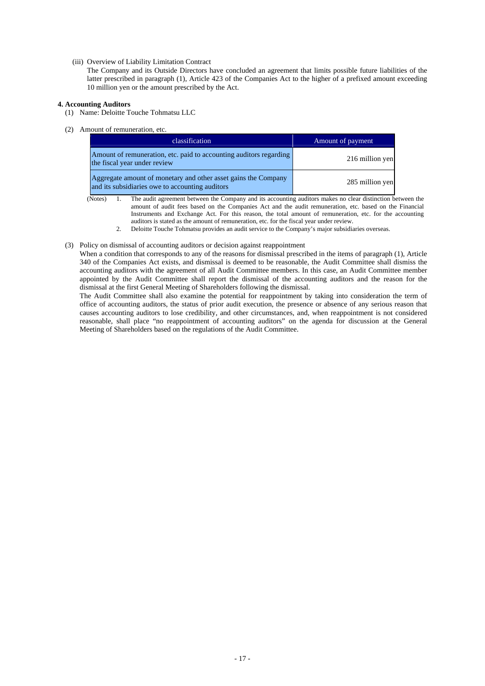(iii) Overview of Liability Limitation Contract

The Company and its Outside Directors have concluded an agreement that limits possible future liabilities of the latter prescribed in paragraph (1), Article 423 of the Companies Act to the higher of a prefixed amount exceeding 10 million yen or the amount prescribed by the Act.

## **4. Accounting Auditors**

- (1) Name: Deloitte Touche Tohmatsu LLC
- (2) Amount of remuneration, etc.

| classification                                                                                                    | Amount of payment |
|-------------------------------------------------------------------------------------------------------------------|-------------------|
| Amount of remuneration, etc. paid to accounting auditors regarding<br>the fiscal year under review                | 216 million yen   |
| Aggregate amount of monetary and other asset gains the Company<br>and its subsidiaries owe to accounting auditors | 285 million yen   |

(Notes) 1. The audit agreement between the Company and its accounting auditors makes no clear distinction between the amount of audit fees based on the Companies Act and the audit remuneration, etc. based on the Financial Instruments and Exchange Act. For this reason, the total amount of remuneration, etc. for the accounting auditors is stated as the amount of remuneration, etc. for the fiscal year under review.

2. Deloitte Touche Tohmatsu provides an audit service to the Company's major subsidiaries overseas.

# (3) Policy on dismissal of accounting auditors or decision against reappointment

When a condition that corresponds to any of the reasons for dismissal prescribed in the items of paragraph (1), Article 340 of the Companies Act exists, and dismissal is deemed to be reasonable, the Audit Committee shall dismiss the accounting auditors with the agreement of all Audit Committee members. In this case, an Audit Committee member appointed by the Audit Committee shall report the dismissal of the accounting auditors and the reason for the dismissal at the first General Meeting of Shareholders following the dismissal.

The Audit Committee shall also examine the potential for reappointment by taking into consideration the term of office of accounting auditors, the status of prior audit execution, the presence or absence of any serious reason that causes accounting auditors to lose credibility, and other circumstances, and, when reappointment is not considered reasonable, shall place "no reappointment of accounting auditors" on the agenda for discussion at the General Meeting of Shareholders based on the regulations of the Audit Committee.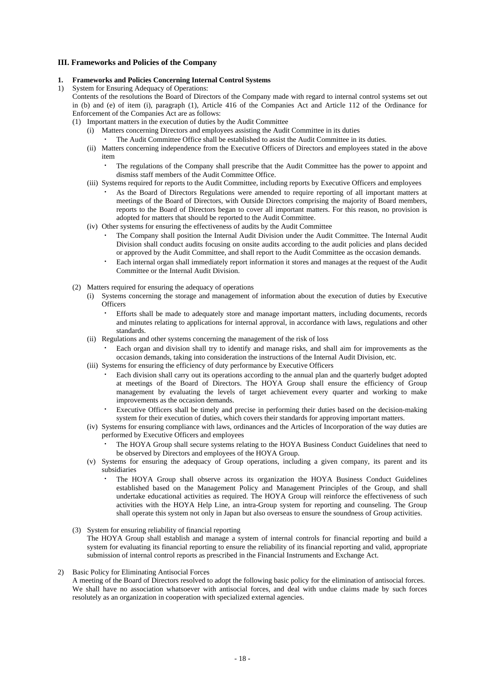## **III. Frameworks and Policies of the Company**

#### **1. Frameworks and Policies Concerning Internal Control Systems**

1) System for Ensuring Adequacy of Operations:

Contents of the resolutions the Board of Directors of the Company made with regard to internal control systems set out in (b) and (e) of item (i), paragraph (1), Article 416 of the Companies Act and Article 112 of the Ordinance for Enforcement of the Companies Act are as follows:

- (1) Important matters in the execution of duties by the Audit Committee
	- (i) Matters concerning Directors and employees assisting the Audit Committee in its duties
		- The Audit Committee Office shall be established to assist the Audit Committee in its duties.
	- (ii) Matters concerning independence from the Executive Officers of Directors and employees stated in the above item
		- The regulations of the Company shall prescribe that the Audit Committee has the power to appoint and dismiss staff members of the Audit Committee Office.
	- (iii) Systems required for reports to the Audit Committee, including reports by Executive Officers and employees
	- As the Board of Directors Regulations were amended to require reporting of all important matters at meetings of the Board of Directors, with Outside Directors comprising the majority of Board members, reports to the Board of Directors began to cover all important matters. For this reason, no provision is adopted for matters that should be reported to the Audit Committee.
	- (iv) Other systems for ensuring the effectiveness of audits by the Audit Committee
		- ・ The Company shall position the Internal Audit Division under the Audit Committee. The Internal Audit Division shall conduct audits focusing on onsite audits according to the audit policies and plans decided or approved by the Audit Committee, and shall report to the Audit Committee as the occasion demands.
		- ・ Each internal organ shall immediately report information it stores and manages at the request of the Audit Committee or the Internal Audit Division.
- (2) Matters required for ensuring the adequacy of operations
	- (i) Systems concerning the storage and management of information about the execution of duties by Executive **Officers** 
		- Efforts shall be made to adequately store and manage important matters, including documents, records and minutes relating to applications for internal approval, in accordance with laws, regulations and other standards.
	- (ii) Regulations and other systems concerning the management of the risk of loss
		- Each organ and division shall try to identify and manage risks, and shall aim for improvements as the occasion demands, taking into consideration the instructions of the Internal Audit Division, etc.
	- (iii) Systems for ensuring the efficiency of duty performance by Executive Officers
		- Each division shall carry out its operations according to the annual plan and the quarterly budget adopted at meetings of the Board of Directors. The HOYA Group shall ensure the efficiency of Group management by evaluating the levels of target achievement every quarter and working to make improvements as the occasion demands.
		- Executive Officers shall be timely and precise in performing their duties based on the decision-making system for their execution of duties, which covers their standards for approving important matters.
	- (iv) Systems for ensuring compliance with laws, ordinances and the Articles of Incorporation of the way duties are performed by Executive Officers and employees
		- The HOYA Group shall secure systems relating to the HOYA Business Conduct Guidelines that need to be observed by Directors and employees of the HOYA Group.
	- (v) Systems for ensuring the adequacy of Group operations, including a given company, its parent and its subsidiaries
		- The HOYA Group shall observe across its organization the HOYA Business Conduct Guidelines established based on the Management Policy and Management Principles of the Group, and shall undertake educational activities as required. The HOYA Group will reinforce the effectiveness of such activities with the HOYA Help Line, an intra-Group system for reporting and counseling. The Group shall operate this system not only in Japan but also overseas to ensure the soundness of Group activities.
- (3) System for ensuring reliability of financial reporting
	- The HOYA Group shall establish and manage a system of internal controls for financial reporting and build a system for evaluating its financial reporting to ensure the reliability of its financial reporting and valid, appropriate submission of internal control reports as prescribed in the Financial Instruments and Exchange Act.
- 2) Basic Policy for Eliminating Antisocial Forces

A meeting of the Board of Directors resolved to adopt the following basic policy for the elimination of antisocial forces. We shall have no association whatsoever with antisocial forces, and deal with undue claims made by such forces resolutely as an organization in cooperation with specialized external agencies.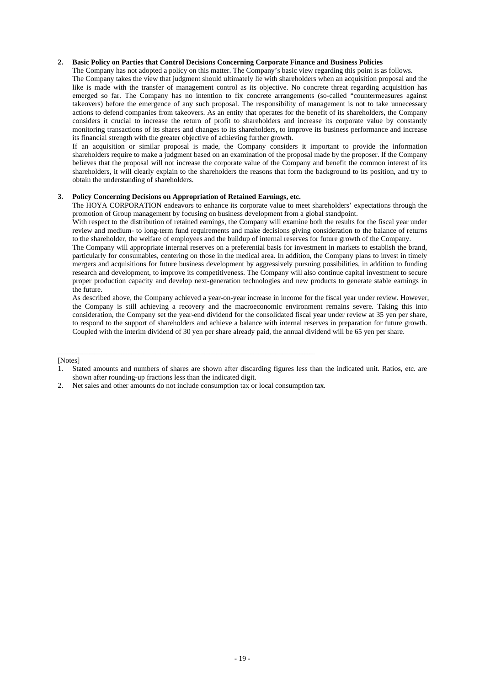# **2. Basic Policy on Parties that Control Decisions Concerning Corporate Finance and Business Policies**

The Company has not adopted a policy on this matter. The Company's basic view regarding this point is as follows. The Company takes the view that judgment should ultimately lie with shareholders when an acquisition proposal and the like is made with the transfer of management control as its objective. No concrete threat regarding acquisition has emerged so far. The Company has no intention to fix concrete arrangements (so-called "countermeasures against takeovers) before the emergence of any such proposal. The responsibility of management is not to take unnecessary actions to defend companies from takeovers. As an entity that operates for the benefit of its shareholders, the Company considers it crucial to increase the return of profit to shareholders and increase its corporate value by constantly monitoring transactions of its shares and changes to its shareholders, to improve its business performance and increase

its financial strength with the greater objective of achieving further growth.

If an acquisition or similar proposal is made, the Company considers it important to provide the information shareholders require to make a judgment based on an examination of the proposal made by the proposer. If the Company believes that the proposal will not increase the corporate value of the Company and benefit the common interest of its shareholders, it will clearly explain to the shareholders the reasons that form the background to its position, and try to obtain the understanding of shareholders.

### **3. Policy Concerning Decisions on Appropriation of Retained Earnings, etc.**

The HOYA CORPORATION endeavors to enhance its corporate value to meet shareholders' expectations through the promotion of Group management by focusing on business development from a global standpoint.

With respect to the distribution of retained earnings, the Company will examine both the results for the fiscal year under review and medium- to long-term fund requirements and make decisions giving consideration to the balance of returns to the shareholder, the welfare of employees and the buildup of internal reserves for future growth of the Company.

The Company will appropriate internal reserves on a preferential basis for investment in markets to establish the brand, particularly for consumables, centering on those in the medical area. In addition, the Company plans to invest in timely mergers and acquisitions for future business development by aggressively pursuing possibilities, in addition to funding research and development, to improve its competitiveness. The Company will also continue capital investment to secure proper production capacity and develop next-generation technologies and new products to generate stable earnings in the future.

As described above, the Company achieved a year-on-year increase in income for the fiscal year under review. However, the Company is still achieving a recovery and the macroeconomic environment remains severe. Taking this into consideration, the Company set the year-end dividend for the consolidated fiscal year under review at 35 yen per share, to respond to the support of shareholders and achieve a balance with internal reserves in preparation for future growth. Coupled with the interim dividend of 30 yen per share already paid, the annual dividend will be 65 yen per share.

[Notes]

2. Net sales and other amounts do not include consumption tax or local consumption tax.

<sup>1.</sup> Stated amounts and numbers of shares are shown after discarding figures less than the indicated unit. Ratios, etc. are shown after rounding-up fractions less than the indicated digit.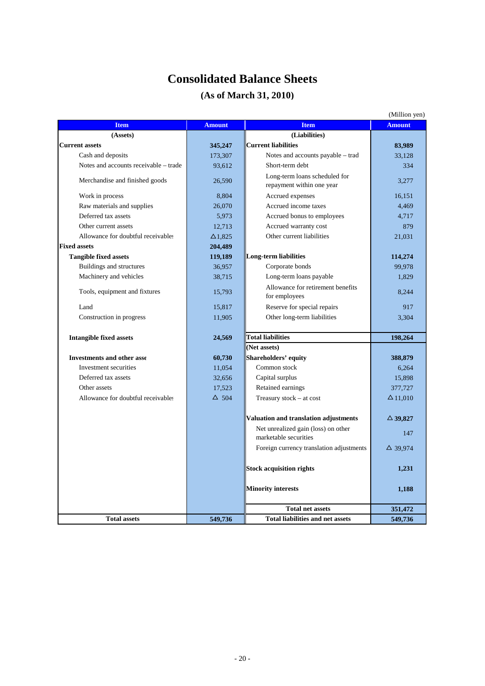# **Consolidated Balance Sheets**

# **(As of March 31, 2010)**

|                                       |                |                                                              | (Million yen)      |
|---------------------------------------|----------------|--------------------------------------------------------------|--------------------|
| <b>Item</b>                           | <b>Amount</b>  | <b>Item</b>                                                  | <b>Amount</b>      |
| (Assets)                              |                | (Liabilities)                                                |                    |
| <b>Current assets</b>                 | 345,247        | <b>Current liabilities</b>                                   | 83,989             |
| Cash and deposits                     | 173,307        | Notes and accounts payable – trad                            | 33.128             |
| Notes and accounts receivable – trade | 93,612         | Short-term debt                                              | 334                |
| Merchandise and finished goods        | 26,590         | Long-term loans scheduled for<br>repayment within one year   | 3,277              |
| Work in process                       | 8,804          | Accrued expenses                                             | 16.151             |
| Raw materials and supplies            | 26,070         | Accrued income taxes                                         | 4,469              |
| Deferred tax assets                   | 5,973          | Accrued bonus to employees                                   | 4,717              |
| Other current assets                  | 12,713         | Accrued warranty cost                                        | 879                |
| Allowance for doubtful receivables    | $\Delta$ 1,825 | Other current liabilities                                    | 21,031             |
| <b>Fixed assets</b>                   | 204,489        |                                                              |                    |
| <b>Tangible fixed assets</b>          | 119,189        | <b>Long-term liabilities</b>                                 | 114,274            |
| Buildings and structures              | 36,957         | Corporate bonds                                              | 99,978             |
| Machinery and vehicles                | 38,715         | Long-term loans payable                                      | 1,829              |
| Tools, equipment and fixtures         | 15,793         | Allowance for retirement benefits<br>for employees           | 8,244              |
| Land                                  | 15,817         | Reserve for special repairs                                  | 917                |
| Construction in progress              | 11,905         | Other long-term liabilities                                  | 3,304              |
| <b>Intangible fixed assets</b>        | 24,569         | <b>Total liabilities</b>                                     | 198,264            |
|                                       |                | (Net assets)                                                 |                    |
| <b>Investments and other asset</b>    | 60,730         | Shareholders' equity                                         | 388,879            |
| Investment securities                 | 11,054         | Common stock                                                 | 6,264              |
| Deferred tax assets                   | 32,656         | Capital surplus                                              | 15,898             |
| Other assets                          | 17.523         | Retained earnings                                            | 377,727            |
| Allowance for doubtful receivables    | $\Delta$ 504   | Treasury stock – at cost                                     | $\Delta$ 11,010    |
|                                       |                | Valuation and translation adjustments                        | $\triangle$ 39,827 |
|                                       |                | Net unrealized gain (loss) on other<br>marketable securities | 147                |
|                                       |                | Foreign currency translation adjustments                     | $\Delta$ 39,974    |
|                                       |                | <b>Stock acquisition rights</b>                              | 1,231              |
|                                       |                | <b>Minority interests</b>                                    | 1,188              |
|                                       |                | <b>Total net assets</b>                                      | 351,472            |
| <b>Total assets</b>                   | 549,736        | <b>Total liabilities and net assets</b>                      | 549,736            |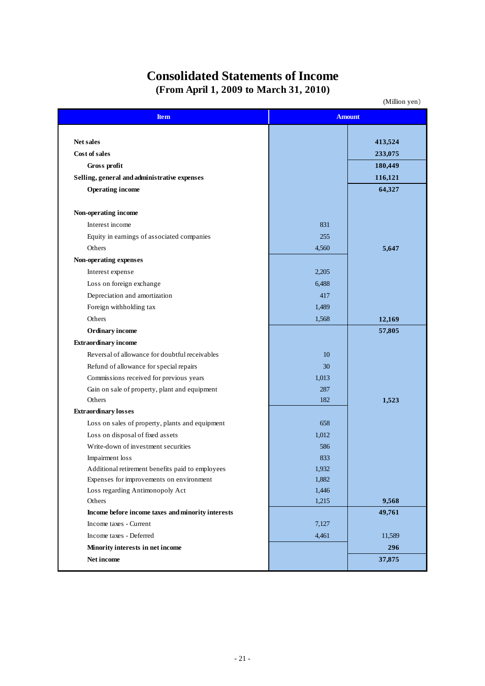# **Consolidated Statements of Income (From April 1, 2009 to March 31, 2010)**

(Million yen)

| <b>Item</b>                                       |       | <b>Amount</b> |
|---------------------------------------------------|-------|---------------|
|                                                   |       |               |
| Net sales                                         |       | 413,524       |
| Cost of sales                                     |       | 233,075       |
| Gross profit                                      |       | 180,449       |
| Selling, general and administrative expenses      |       | 116,121       |
| <b>Operating income</b>                           |       | 64,327        |
| Non-operating income                              |       |               |
| Interest income                                   | 831   |               |
| Equity in earnings of associated companies        | 255   |               |
| Others                                            | 4,560 | 5,647         |
| Non-operating expenses                            |       |               |
| Interest expense                                  | 2,205 |               |
| Loss on foreign exchange                          | 6,488 |               |
| Depreciation and amortization                     | 417   |               |
| Foreign withholding tax                           | 1,489 |               |
| Others                                            | 1,568 | 12,169        |
| Ordinary income                                   |       | 57,805        |
| <b>Extraordinary income</b>                       |       |               |
| Reversal of allowance for doubtful receivables    | 10    |               |
| Refund of allowance for special repairs           | 30    |               |
| Commissions received for previous years           | 1,013 |               |
| Gain on sale of property, plant and equipment     | 287   |               |
| Others                                            | 182   | 1,523         |
| <b>Extraordinary losses</b>                       |       |               |
| Loss on sales of property, plants and equipment   | 658   |               |
| Loss on disposal of fixed assets                  | 1,012 |               |
| Write-down of investment securities               | 586   |               |
| Impairment loss                                   | 833   |               |
| Additional retirement benefits paid to employees  | 1,932 |               |
| Expenses for improvements on environment          | 1,882 |               |
| Loss regarding Antimonopoly Act                   | 1,446 |               |
| Others                                            | 1,215 | 9,568         |
| Income before income taxes and minority interests |       | 49,761        |
| Income taxes - Current                            | 7,127 |               |
| Income taxes - Deferred                           | 4,461 | 11,589        |
| Minority interests in net income                  |       | 296           |
| Net income                                        |       | 37,875        |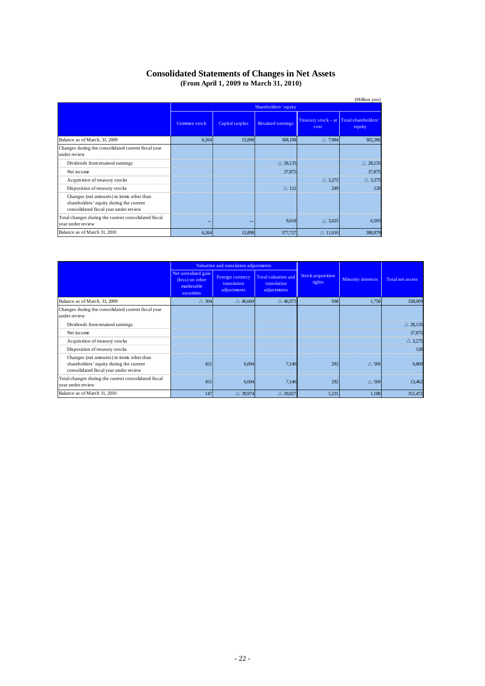# **Consolidated Statements of Changes in Net Assets (From April 1, 2009 to March 31, 2010)**

|                                                                                                                               |              |                      |                          |                                                 | (Million yen)      |  |
|-------------------------------------------------------------------------------------------------------------------------------|--------------|----------------------|--------------------------|-------------------------------------------------|--------------------|--|
|                                                                                                                               |              | Shareholders' equity |                          |                                                 |                    |  |
|                                                                                                                               | Common stock | Capital surplus      | <b>Retained earnings</b> | Treasury stock - at Total shareholders'<br>cost | equity             |  |
| Balance as of March, 31, 2009                                                                                                 | 6,264        | 15,898               | 368,108                  | $\triangle$ 7.984                               | 382,286            |  |
| Changes during the consolidated current fiscal year<br>under review                                                           |              |                      |                          |                                                 |                    |  |
| Dividends from retained earnings                                                                                              |              |                      | $\triangle$ 28,135       |                                                 | $\triangle$ 28,135 |  |
| Net income                                                                                                                    |              |                      | 37,875                   |                                                 | 37,875             |  |
| Acquisition of treasury stocks                                                                                                |              |                      |                          | $\triangle$ 3,275                               | $\triangle$ 3,275  |  |
| Disposition of treasury stocks                                                                                                |              |                      | $\triangle$ 121          | 249                                             | 128                |  |
| Changes (net amounts) in items other than<br>shareholders' equity during the current<br>consolidated fiscal year under review |              |                      |                          |                                                 |                    |  |
| Total changes during the current consolidated fiscal<br>year under review                                                     |              |                      | 9,618                    | $\triangle$ 3,025                               | 6,593              |  |
| Balance as of March 31, 2010                                                                                                  | 6,264        | 15,898               | 377,727                  | $\triangle$ 11,010                              | 388,879            |  |

| Valuation and translation adjustments                                                                                         |                                                                    |                                                |                                                   |                             |                    |                    |
|-------------------------------------------------------------------------------------------------------------------------------|--------------------------------------------------------------------|------------------------------------------------|---------------------------------------------------|-----------------------------|--------------------|--------------------|
|                                                                                                                               | Net unrealized gain<br>(loss) on other<br>marketable<br>securities | Foreign currency<br>translation<br>adjustments | Total valuation and<br>translation<br>adjustments | Stock acquisition<br>rights | Minority interests | Total net assets   |
| Balance as of March, 31, 2009                                                                                                 | $\triangle$ 304                                                    | $\triangle$ 46,669                             | $\triangle$ 46,973                                | 938                         | 1,758              | 338,009            |
| Changes during the consolidated current fiscal year<br>under review                                                           |                                                                    |                                                |                                                   |                             |                    |                    |
| Dividends from retained earnings                                                                                              |                                                                    |                                                |                                                   |                             |                    | $\triangle$ 28,135 |
| Net income                                                                                                                    |                                                                    |                                                |                                                   |                             |                    | 37,875             |
| Acquisition of treasury stocks                                                                                                |                                                                    |                                                |                                                   |                             |                    | $\triangle$ 3,275  |
| Disposition of treasury stocks                                                                                                |                                                                    |                                                |                                                   |                             |                    | 128                |
| Changes (net amounts) in items other than<br>shareholders' equity during the current<br>consolidated fiscal year under review | 451                                                                | 6,694                                          | 7.146                                             | 292                         | $\triangle$ 569    | 6,869              |
| Total changes during the current consolidated fiscal<br>year under review                                                     | 451                                                                | 6,694                                          | 7,146                                             | 292                         | $\triangle$ 569    | 13,462             |
| Balance as of March 31, 2010                                                                                                  | 147                                                                | $\triangle$ 39,974                             | $\triangle$ 39,827                                | 1,231                       | 1,188              | 351,472            |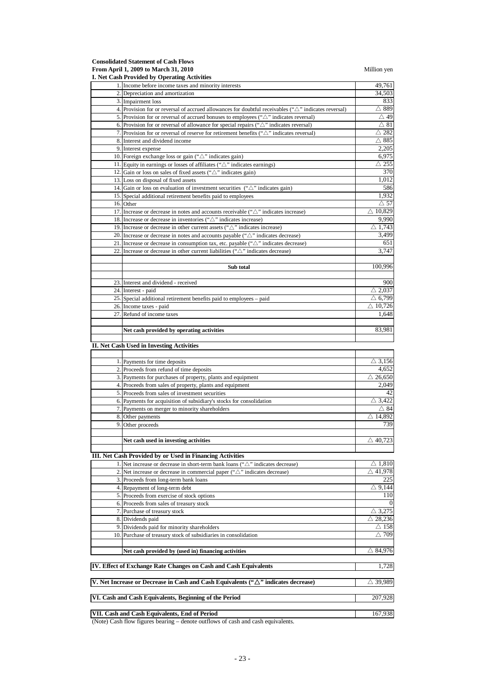**Consolidated Statement of Cash Flows From April 1, 2009 to March 31, 2010** Million yen

|     | $\cdots$ $\cdots$ $\cdots$<br>I. Net Cash Provided by Operating Activities                                       |                                            |
|-----|------------------------------------------------------------------------------------------------------------------|--------------------------------------------|
|     | 1. Income before income taxes and minority interests                                                             | 49,761                                     |
|     | 2. Depreciation and amortization                                                                                 | 34,503                                     |
|     | 3. Impairment loss                                                                                               | 833                                        |
|     | 4. Provision for or reversal of accrued allowances for doubtful receivables (" $\triangle$ " indicates reversal) | $\triangle$ 889                            |
|     | 5. Provision for or reversal of accrued bonuses to employees (" $\triangle$ " indicates reversal)                | $\triangle$ 49                             |
|     | 6. Provision for or reversal of allowance for special repairs (" $\triangle$ " indicates reversal)               | $\vartriangle 81$                          |
|     | 7. Provision for or reversal of reserve for retirement benefits ( $\sqrt{\Delta}$ " indicates reversal)          | $\vartriangle$ 282<br>$\bigtriangleup$ 885 |
|     | 8. Interest and dividend income                                                                                  | 2,205                                      |
|     | 9. Interest expense<br>10. Foreign exchange loss or gain (" $\triangle$ " indicates gain)                        | 6,975                                      |
|     | 11. Equity in earnings or losses of affiliates ( $\sqrt{\triangle}$ " indicates earnings)                        | $\triangle$ 255                            |
|     | 12. Gain or loss on sales of fixed assets (" $\triangle$ " indicates gain)                                       | 370                                        |
|     | 13. Loss on disposal of fixed assets                                                                             | 1,012                                      |
|     | 14. Gain or loss on evaluation of investment securities $($ " $\triangle$ " indicates gain)                      | 586                                        |
|     | 15. Special additional retirement benefits paid to employees                                                     | 1,932                                      |
|     | 16. Other                                                                                                        | $\vartriangle$ 57                          |
|     | 17. Increase or decrease in notes and accounts receivable ( $\Delta$ " indicates increase)                       | $\triangle$ 10,829                         |
|     | 18. Increase or decrease in inventories (" $\triangle$ " indicates increase)                                     | 9,990                                      |
|     | 19. Increase or decrease in other current assets (" $\triangle$ " indicates increase)                            | $\triangle$ 1,743                          |
|     | 20. Increase or decrease in notes and accounts payable ( $\sqrt{\triangle}$ " indicates decrease)                | 3,499                                      |
|     | 21. Increase or decrease in consumption tax, etc. payable (" $\triangle$ " indicates decrease)                   | 651                                        |
| 22. | Increase or decrease in other current liabilities (" $\triangle$ " indicates decrease)                           | 3,747                                      |
|     |                                                                                                                  |                                            |
|     | Sub total                                                                                                        | 100,996                                    |
|     |                                                                                                                  |                                            |
|     | 23. Interest and dividend - received                                                                             | 900                                        |
|     | 24. Interest - paid                                                                                              | $\triangle$ 2,037                          |
|     | 25. Special additional retirement benefits paid to employees - paid                                              | $\triangle$ 6,799                          |
|     | 26. Income taxes - paid                                                                                          | $\triangle$ 10,726                         |
|     | 27. Refund of income taxes                                                                                       | 1,648                                      |
|     |                                                                                                                  |                                            |
|     | Net cash provided by operating activities                                                                        | 83,981                                     |
|     | II. Net Cash Used in Investing Activities                                                                        |                                            |
|     |                                                                                                                  |                                            |
|     | 1. Payments for time deposits                                                                                    | $\triangle$ 3,156                          |
|     | 2. Proceeds from refund of time deposits                                                                         | 4,652                                      |
|     | 3. Payments for purchases of property, plants and equipment                                                      | $\overline{\triangle}$ 26,650              |
|     | 4. Proceeds from sales of property, plants and equipment                                                         | 2,049                                      |
|     | 5. Proceeds from sales of investment securities                                                                  | 42                                         |
|     | 6. Payments for acquisition of subsidiary's stocks for consolidation                                             | $\triangle$ 3,422                          |
|     | 7. Payments on merger to minority shareholders                                                                   | $\vartriangle$ 84                          |
|     | 8. Other payments                                                                                                | $\triangle$ 14,892                         |
| 9.  | Other proceeds                                                                                                   | 739                                        |
|     |                                                                                                                  |                                            |
|     | Net cash used in investing activities                                                                            | $\overline{\triangle}$ 40,723              |
|     |                                                                                                                  |                                            |
|     | III. Net Cash Provided by or Used in Financing Activities                                                        |                                            |
|     | 1. Net increase or decrease in short-term bank loans (" $\triangle$ " indicates decrease)                        | $\triangle$ 1,810                          |
|     | 2. Net increase or decrease in commercial paper ( $\sqrt{\triangle}$ " indicates decrease)                       | $\triangle$ 41,978                         |
|     | 3. Proceeds from long-term bank loans                                                                            | 225                                        |
|     | 4. Repayment of long-term debt                                                                                   | $\triangle$ 9,144                          |
|     | 5. Proceeds from exercise of stock options                                                                       | 110                                        |
|     | 6. Proceeds from sales of treasury stock                                                                         | $\mathbf{0}$                               |
|     | 7. Purchase of treasury stock                                                                                    | $\triangle$ 3,275                          |
|     | 8. Dividends paid                                                                                                | $\triangle$ 28,236                         |
|     | 9. Dividends paid for minority shareholders                                                                      | $\triangle$ 158<br>$\triangle$ 709         |
|     | 10. Purchase of treasury stock of subsidiaries in consolidation                                                  |                                            |
|     | Net cash provided by (used in) financing activities                                                              | $\triangle$ 84,976                         |
|     | IV. Effect of Exchange Rate Changes on Cash and Cash Equivalents                                                 | 1,728                                      |
|     | V. Net Increase or Decrease in Cash and Cash Equivalents (" $\Delta$ " indicates decrease)                       | $\triangle$ 39,989                         |
|     |                                                                                                                  |                                            |
|     | VI. Cash and Cash Equivalents, Beginning of the Period                                                           | 207,928                                    |
|     | VII. Cash and Cash Equivalents, End of Period                                                                    | 167,938                                    |

(Note) Cash flow figures bearing – denote outflows of cash and cash equivalents.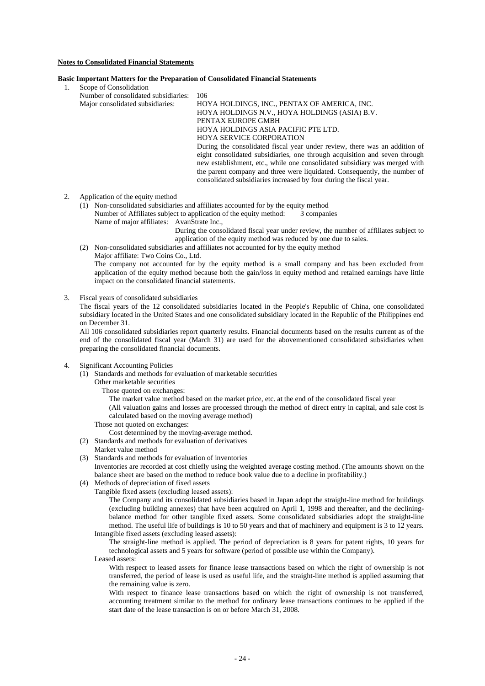### **Notes to Consolidated Financial Statements**

#### **Basic Important Matters for the Preparation of Consolidated Financial Statements**

- 1. Scope of Consolidation
	- Number of consolidated subsidiaries: 106<br>Maior consolidated subsidiaries: HO HOYA HOLDINGS, INC., PENTAX OF AMERICA, INC. HOYA HOLDINGS N.V., HOYA HOLDINGS (ASIA) B.V. PENTAX EUROPE GMBH HOYA HOLDINGS ASIA PACIFIC PTE LTD. HOYA SERVICE CORPORATION During the consolidated fiscal year under review, there was an addition of eight consolidated subsidiaries, one through acquisition and seven through new establishment, etc., while one consolidated subsidiary was merged with the parent company and three were liquidated. Consequently, the number of consolidated subsidiaries increased by four during the fiscal year.

## 2. Application of the equity method

(1) Non-consolidated subsidiaries and affiliates accounted for by the equity method Number of Affiliates subject to application of the equity method: 3 companies Name of major affiliates: AvanStrate Inc.,

During the consolidated fiscal year under review, the number of affiliates subject to application of the equity method was reduced by one due to sales.

(2) Non-consolidated subsidiaries and affiliates not accounted for by the equity method

Major affiliate: Two Coins Co., Ltd. The company not accounted for by the equity method is a small company and has been excluded from application of the equity method because both the gain/loss in equity method and retained earnings have little impact on the consolidated financial statements.

3. Fiscal years of consolidated subsidiaries

The fiscal years of the 12 consolidated subsidiaries located in the People's Republic of China, one consolidated subsidiary located in the United States and one consolidated subsidiary located in the Republic of the Philippines end on December 31.

All 106 consolidated subsidiaries report quarterly results. Financial documents based on the results current as of the end of the consolidated fiscal year (March 31) are used for the abovementioned consolidated subsidiaries when preparing the consolidated financial documents.

#### 4. Significant Accounting Policies

(1) Standards and methods for evaluation of marketable securities

Other marketable securities

Those quoted on exchanges:

The market value method based on the market price, etc. at the end of the consolidated fiscal year

(All valuation gains and losses are processed through the method of direct entry in capital, and sale cost is calculated based on the moving average method)

- Those not quoted on exchanges:
	- Cost determined by the moving-average method.
- (2) Standards and methods for evaluation of derivatives
- Market value method
- (3) Standards and methods for evaluation of inventories

Inventories are recorded at cost chiefly using the weighted average costing method. (The amounts shown on the balance sheet are based on the method to reduce book value due to a decline in profitability.)

- (4) Methods of depreciation of fixed assets
	- Tangible fixed assets (excluding leased assets):

The Company and its consolidated subsidiaries based in Japan adopt the straight-line method for buildings (excluding building annexes) that have been acquired on April 1, 1998 and thereafter, and the decliningbalance method for other tangible fixed assets. Some consolidated subsidiaries adopt the straight-line method. The useful life of buildings is 10 to 50 years and that of machinery and equipment is 3 to 12 years. Intangible fixed assets (excluding leased assets):

The straight-line method is applied. The period of depreciation is 8 years for patent rights, 10 years for technological assets and 5 years for software (period of possible use within the Company). Leased assets:

With respect to leased assets for finance lease transactions based on which the right of ownership is not transferred, the period of lease is used as useful life, and the straight-line method is applied assuming that the remaining value is zero.

With respect to finance lease transactions based on which the right of ownership is not transferred, accounting treatment similar to the method for ordinary lease transactions continues to be applied if the start date of the lease transaction is on or before March 31, 2008.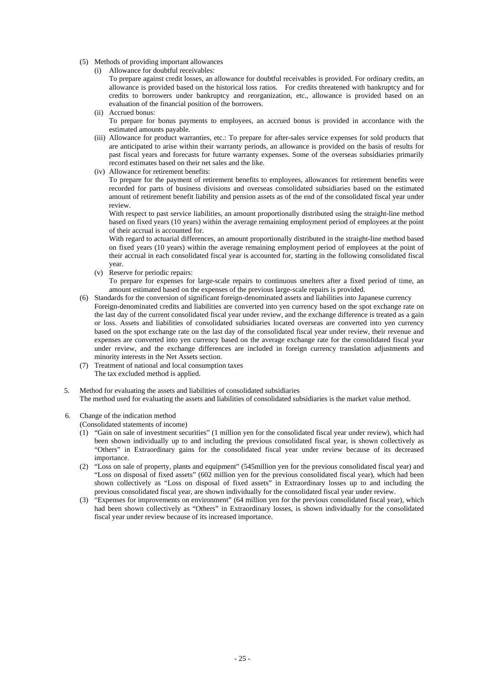- (5) Methods of providing important allowances
	- (i) Allowance for doubtful receivables:
		- To prepare against credit losses, an allowance for doubtful receivables is provided. For ordinary credits, an allowance is provided based on the historical loss ratios. For credits threatened with bankruptcy and for credits to borrowers under bankruptcy and reorganization, etc., allowance is provided based on an evaluation of the financial position of the borrowers.
	- (ii) Accrued bonus: To prepare for bonus payments to employees, an accrued bonus is provided in accordance with the estimated amounts payable.
	- (iii) Allowance for product warranties, etc.: To prepare for after-sales service expenses for sold products that are anticipated to arise within their warranty periods, an allowance is provided on the basis of results for past fiscal years and forecasts for future warranty expenses. Some of the overseas subsidiaries primarily record estimates based on their net sales and the like.
	- (iv) Allowance for retirement benefits:

To prepare for the payment of retirement benefits to employees, allowances for retirement benefits were recorded for parts of business divisions and overseas consolidated subsidiaries based on the estimated amount of retirement benefit liability and pension assets as of the end of the consolidated fiscal year under review.

With respect to past service liabilities, an amount proportionally distributed using the straight-line method based on fixed years (10 years) within the average remaining employment period of employees at the point of their accrual is accounted for.

With regard to actuarial differences, an amount proportionally distributed in the straight-line method based on fixed years (10 years) within the average remaining employment period of employees at the point of their accrual in each consolidated fiscal year is accounted for, starting in the following consolidated fiscal year.

(v) Reserve for periodic repairs:

To prepare for expenses for large-scale repairs to continuous smelters after a fixed period of time, an amount estimated based on the expenses of the previous large-scale repairs is provided.

- (6) Standards for the conversion of significant foreign-denominated assets and liabilities into Japanese currency Foreign-denominated credits and liabilities are converted into yen currency based on the spot exchange rate on the last day of the current consolidated fiscal year under review, and the exchange difference is treated as a gain or loss. Assets and liabilities of consolidated subsidiaries located overseas are converted into yen currency based on the spot exchange rate on the last day of the consolidated fiscal year under review, their revenue and expenses are converted into yen currency based on the average exchange rate for the consolidated fiscal year under review, and the exchange differences are included in foreign currency translation adjustments and minority interests in the Net Assets section.
- (7) Treatment of national and local consumption taxes The tax excluded method is applied.
- 5. Method for evaluating the assets and liabilities of consolidated subsidiaries The method used for evaluating the assets and liabilities of consolidated subsidiaries is the market value method.
- 6. Change of the indication method
	- (Consolidated statements of income)
	- (1) "Gain on sale of investment securities" (1 million yen for the consolidated fiscal year under review), which had been shown individually up to and including the previous consolidated fiscal year, is shown collectively as "Others" in Extraordinary gains for the consolidated fiscal year under review because of its decreased importance.
	- (2) "Loss on sale of property, plants and equipment" (545million yen for the previous consolidated fiscal year) and "Loss on disposal of fixed assets" (602 million yen for the previous consolidated fiscal year), which had been shown collectively as "Loss on disposal of fixed assets" in Extraordinary losses up to and including the previous consolidated fiscal year, are shown individually for the consolidated fiscal year under review.
	- (3) "Expenses for improvements on environment" (64 million yen for the previous consolidated fiscal year), which had been shown collectively as "Others" in Extraordinary losses, is shown individually for the consolidated fiscal year under review because of its increased importance.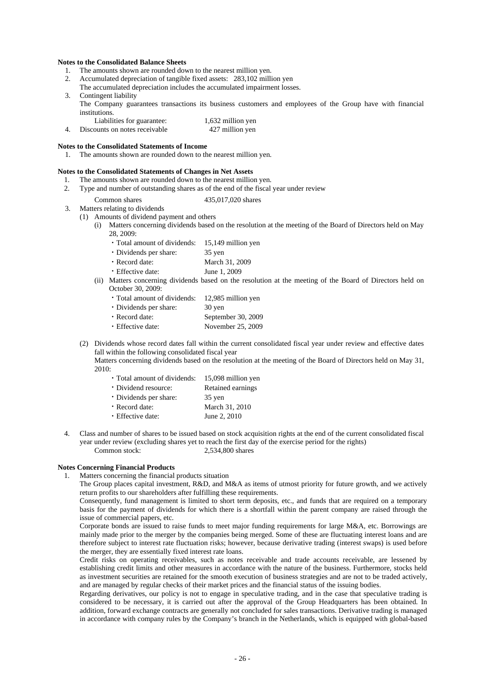#### **Notes to the Consolidated Balance Sheets**

- 1. The amounts shown are rounded down to the nearest million yen.
- 2. Accumulated depreciation of tangible fixed assets: 283,102 million yen
- The accumulated depreciation includes the accumulated impairment losses.
- 3. Contingent liability The Company guarantees transactions its business customers and employees of the Group have with financial institutions.

| Liabilities for guarantee:    | 1,632 million yen |
|-------------------------------|-------------------|
| Discounts on notes receivable | 427 million yen   |

#### **Notes to the Consolidated Statements of Income**

1. The amounts shown are rounded down to the nearest million yen.

## **Notes to the Consolidated Statements of Changes in Net Assets**

- 1. The amounts shown are rounded down to the nearest million yen.
- 2. Type and number of outstanding shares as of the end of the fiscal year under review
	- Common shares 435,017,020 shares
- 3. Matters relating to dividends
	- (1) Amounts of dividend payment and others
		- Matters concerning dividends based on the resolution at the meeting of the Board of Directors held on May 28, 2009:
			- ・Total amount of dividends: 15,149 million yen
			- ・Dividends per share: 35 yen
			- ・Record date: March 31, 2009
			- ・Effective date: June 1, 2009
		- (ii) Matters concerning dividends based on the resolution at the meeting of the Board of Directors held on October 30, 2009:
			- ・Total amount of dividends: 12,985 million yen
			- ・Dividends per share: 30 yen
			- ・Record date: September 30, 2009
			- ・Effective date: November 25, 2009
	- (2) Dividends whose record dates fall within the current consolidated fiscal year under review and effective dates fall within the following consolidated fiscal year Matters concerning dividends based on the resolution at the meeting of the Board of Directors held on May 31,

2010:

- ・Total amount of dividends: 15,098 million yen ・Dividend resource: Retained earnings ・Dividends per share: 35 yen ・Record date: March 31, 2010 ・Effective date: June 2, 2010
- 4. Class and number of shares to be issued based on stock acquisition rights at the end of the current consolidated fiscal year under review (excluding shares yet to reach the first day of the exercise period for the rights) Common stock: 2,534,800 shares

## **Notes Concerning Financial Products**

1. Matters concerning the financial products situation

The Group places capital investment, R&D, and M&A as items of utmost priority for future growth, and we actively return profits to our shareholders after fulfilling these requirements.

Consequently, fund management is limited to short term deposits, etc., and funds that are required on a temporary basis for the payment of dividends for which there is a shortfall within the parent company are raised through the issue of commercial papers, etc.

Corporate bonds are issued to raise funds to meet major funding requirements for large M&A, etc. Borrowings are mainly made prior to the merger by the companies being merged. Some of these are fluctuating interest loans and are therefore subject to interest rate fluctuation risks; however, because derivative trading (interest swaps) is used before the merger, they are essentially fixed interest rate loans.

Credit risks on operating receivables, such as notes receivable and trade accounts receivable, are lessened by establishing credit limits and other measures in accordance with the nature of the business. Furthermore, stocks held as investment securities are retained for the smooth execution of business strategies and are not to be traded actively, and are managed by regular checks of their market prices and the financial status of the issuing bodies.

Regarding derivatives, our policy is not to engage in speculative trading, and in the case that speculative trading is considered to be necessary, it is carried out after the approval of the Group Headquarters has been obtained. In addition, forward exchange contracts are generally not concluded for sales transactions. Derivative trading is managed in accordance with company rules by the Company's branch in the Netherlands, which is equipped with global-based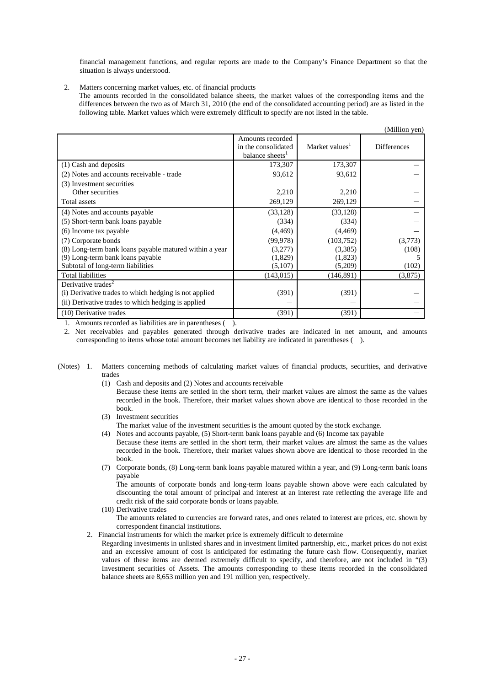financial management functions, and regular reports are made to the Company's Finance Department so that the situation is always understood.

2. Matters concerning market values, etc. of financial products The amounts recorded in the consolidated balance sheets, the market values of the corresponding items and the differences between the two as of March 31, 2010 (the end of the consolidated accounting period) are as listed in the following table. Market values which were extremely difficult to specify are not listed in the table.

|                                                        |                                                                        |                            | (Million yen)      |
|--------------------------------------------------------|------------------------------------------------------------------------|----------------------------|--------------------|
|                                                        | Amounts recorded<br>in the consolidated<br>balance sheets <sup>1</sup> | Market values <sup>1</sup> | <b>Differences</b> |
| (1) Cash and deposits                                  | 173,307                                                                | 173,307                    |                    |
| (2) Notes and accounts receivable - trade              | 93,612                                                                 | 93,612                     |                    |
| (3) Investment securities                              |                                                                        |                            |                    |
| Other securities                                       | 2,210                                                                  | 2,210                      |                    |
| Total assets                                           | 269,129                                                                | 269,129                    |                    |
| (4) Notes and accounts payable                         | (33, 128)                                                              | (33, 128)                  |                    |
| (5) Short-term bank loans payable                      | (334)                                                                  | (334)                      |                    |
| (6) Income tax payable                                 | (4, 469)                                                               | (4, 469)                   |                    |
| (7) Corporate bonds                                    | (99, 978)                                                              | (103, 752)                 | (3,773)            |
| (8) Long-term bank loans payable matured within a year | (3,277)                                                                | (3,385)                    | (108)              |
| (9) Long-term bank loans payable                       | (1,829)                                                                | (1,823)                    |                    |
| Subtotal of long-term liabilities                      | (5,107)                                                                | (5,209)                    | (102)              |
| <b>Total liabilities</b>                               | (143, 015)                                                             | (146, 891)                 | (3,875)            |
| Derivative trades <sup>2</sup>                         |                                                                        |                            |                    |
| (i) Derivative trades to which hedging is not applied  | (391)                                                                  | (391)                      |                    |
| (ii) Derivative trades to which hedging is applied     |                                                                        |                            |                    |
| (10) Derivative trades                                 | (391)                                                                  | (391)                      |                    |

1. Amounts recorded as liabilities are in parentheses ( ).

2. Net receivables and payables generated through derivative trades are indicated in net amount, and amounts corresponding to items whose total amount becomes net liability are indicated in parentheses ( ).

- (Notes) 1. Matters concerning methods of calculating market values of financial products, securities, and derivative trades
	- (1) Cash and deposits and (2) Notes and accounts receivable

Because these items are settled in the short term, their market values are almost the same as the values recorded in the book. Therefore, their market values shown above are identical to those recorded in the book.

- (3) Investment securities
- The market value of the investment securities is the amount quoted by the stock exchange.
- (4) Notes and accounts payable, (5) Short-term bank loans payable and (6) Income tax payable Because these items are settled in the short term, their market values are almost the same as the values recorded in the book. Therefore, their market values shown above are identical to those recorded in the book.
- (7) Corporate bonds, (8) Long-term bank loans payable matured within a year, and (9) Long-term bank loans payable

The amounts of corporate bonds and long-term loans payable shown above were each calculated by discounting the total amount of principal and interest at an interest rate reflecting the average life and credit risk of the said corporate bonds or loans payable.

(10) Derivative trades

The amounts related to currencies are forward rates, and ones related to interest are prices, etc. shown by correspondent financial institutions.

2. Financial instruments for which the market price is extremely difficult to determine

Regarding investments in unlisted shares and in investment limited partnership, etc., market prices do not exist and an excessive amount of cost is anticipated for estimating the future cash flow. Consequently, market values of these items are deemed extremely difficult to specify, and therefore, are not included in "(3) Investment securities of Assets. The amounts corresponding to these items recorded in the consolidated balance sheets are 8,653 million yen and 191 million yen, respectively.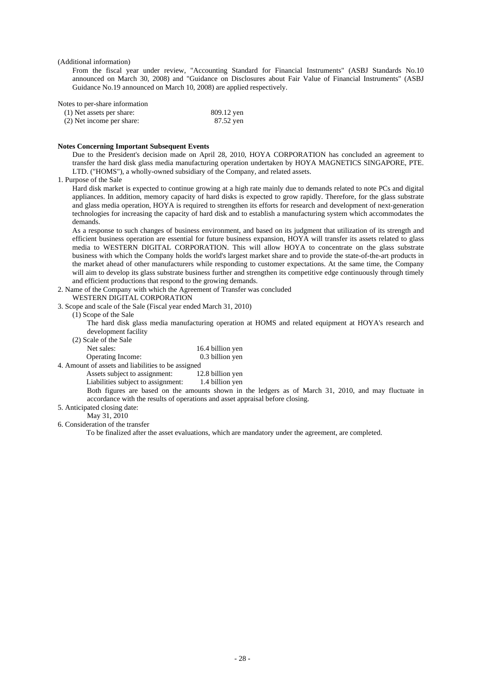(Additional information)

From the fiscal year under review, "Accounting Standard for Financial Instruments" (ASBJ Standards No.10 announced on March 30, 2008) and "Guidance on Disclosures about Fair Value of Financial Instruments" (ASBJ Guidance No.19 announced on March 10, 2008) are applied respectively.

Notes to per-share information

| (1) Net assets per share: | 809.12 yen |
|---------------------------|------------|
| (2) Net income per share: | 87.52 yen  |

#### **Notes Concerning Important Subsequent Events**

Due to the President's decision made on April 28, 2010, HOYA CORPORATION has concluded an agreement to transfer the hard disk glass media manufacturing operation undertaken by HOYA MAGNETICS SINGAPORE, PTE. LTD. ("HOMS"), a wholly-owned subsidiary of the Company, and related assets.

#### 1. Purpose of the Sale

Hard disk market is expected to continue growing at a high rate mainly due to demands related to note PCs and digital appliances. In addition, memory capacity of hard disks is expected to grow rapidly. Therefore, for the glass substrate and glass media operation, HOYA is required to strengthen its efforts for research and development of next-generation technologies for increasing the capacity of hard disk and to establish a manufacturing system which accommodates the demands.

As a response to such changes of business environment, and based on its judgment that utilization of its strength and efficient business operation are essential for future business expansion, HOYA will transfer its assets related to glass media to WESTERN DIGITAL CORPORATION. This will allow HOYA to concentrate on the glass substrate business with which the Company holds the world's largest market share and to provide the state-of-the-art products in the market ahead of other manufacturers while responding to customer expectations. At the same time, the Company will aim to develop its glass substrate business further and strengthen its competitive edge continuously through timely and efficient productions that respond to the growing demands.

2. Name of the Company with which the Agreement of Transfer was concluded

# WESTERN DIGITAL CORPORATION

3. Scope and scale of the Sale (Fiscal year ended March 31, 2010)

(1) Scope of the Sale

The hard disk glass media manufacturing operation at HOMS and related equipment at HOYA's research and development facility

(2) Scale of the Sale

Net sales: 16.4 billion yen Operating Income: 0.3 billion yen 4. Amount of assets and liabilities to be assigned<br>Assets subject to assignment: 12.8 billion yen

Assets subject to assignment:

Liabilities subject to assignment: 1.4 billion yen

Both figures are based on the amounts shown in the ledgers as of March 31, 2010, and may fluctuate in accordance with the results of operations and asset appraisal before closing.

# 5. Anticipated closing date:

May 31, 2010

# 6. Consideration of the transfer

To be finalized after the asset evaluations, which are mandatory under the agreement, are completed.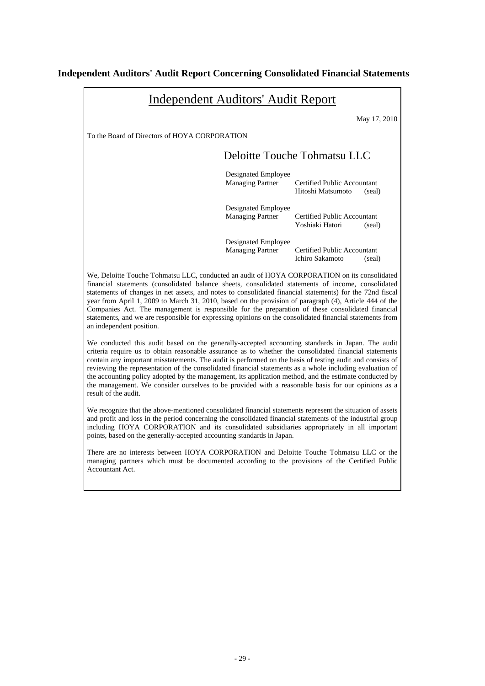# **Independent Auditors' Audit Report Concerning Consolidated Financial Statements**

| <b>Independent Auditors' Audit Report</b>                                                                                                                                                                                                                                                                                                                                                                                                                                                                                                                                                                                                                                   |                                                |                                                            |  |  |
|-----------------------------------------------------------------------------------------------------------------------------------------------------------------------------------------------------------------------------------------------------------------------------------------------------------------------------------------------------------------------------------------------------------------------------------------------------------------------------------------------------------------------------------------------------------------------------------------------------------------------------------------------------------------------------|------------------------------------------------|------------------------------------------------------------|--|--|
|                                                                                                                                                                                                                                                                                                                                                                                                                                                                                                                                                                                                                                                                             |                                                | May 17, 2010                                               |  |  |
| To the Board of Directors of HOYA CORPORATION                                                                                                                                                                                                                                                                                                                                                                                                                                                                                                                                                                                                                               |                                                |                                                            |  |  |
|                                                                                                                                                                                                                                                                                                                                                                                                                                                                                                                                                                                                                                                                             |                                                | Deloitte Touche Tohmatsu LLC                               |  |  |
|                                                                                                                                                                                                                                                                                                                                                                                                                                                                                                                                                                                                                                                                             | Designated Employee<br><b>Managing Partner</b> | Certified Public Accountant<br>Hitoshi Matsumoto<br>(seal) |  |  |
|                                                                                                                                                                                                                                                                                                                                                                                                                                                                                                                                                                                                                                                                             | Designated Employee<br><b>Managing Partner</b> | Certified Public Accountant<br>Yoshiaki Hatori<br>(seal)   |  |  |
|                                                                                                                                                                                                                                                                                                                                                                                                                                                                                                                                                                                                                                                                             | Designated Employee<br><b>Managing Partner</b> | Certified Public Accountant<br>Ichiro Sakamoto<br>(seal)   |  |  |
| We, Deloitte Touche Tohmatsu LLC, conducted an audit of HOYA CORPORATION on its consolidated<br>financial statements (consolidated balance sheets, consolidated statements of income, consolidated<br>statements of changes in net assets, and notes to consolidated financial statements) for the 72nd fiscal<br>year from April 1, 2009 to March 31, 2010, based on the provision of paragraph (4), Article 444 of the<br>Companies Act. The management is responsible for the preparation of these consolidated financial<br>statements, and we are responsible for expressing opinions on the consolidated financial statements from<br>an independent position.        |                                                |                                                            |  |  |
| We conducted this audit based on the generally-accepted accounting standards in Japan. The audit<br>criteria require us to obtain reasonable assurance as to whether the consolidated financial statements<br>contain any important misstatements. The audit is performed on the basis of testing audit and consists of<br>reviewing the representation of the consolidated financial statements as a whole including evaluation of<br>the accounting policy adopted by the management, its application method, and the estimate conducted by<br>the management. We consider ourselves to be provided with a reasonable basis for our opinions as a<br>result of the audit. |                                                |                                                            |  |  |
| We recognize that the above-mentioned consolidated financial statements represent the situation of assets<br>and profit and loss in the period concerning the consolidated financial statements of the industrial group<br>including HOYA CORPORATION and its consolidated subsidiaries appropriately in all important<br>points, based on the generally-accepted accounting standards in Japan.                                                                                                                                                                                                                                                                            |                                                |                                                            |  |  |
| There are no interests between HOYA CORPORATION and Deloitte Touche Tohmatsu LLC or the<br>managing partners which must be documented according to the provisions of the Certified Public<br>Accountant Act.                                                                                                                                                                                                                                                                                                                                                                                                                                                                |                                                |                                                            |  |  |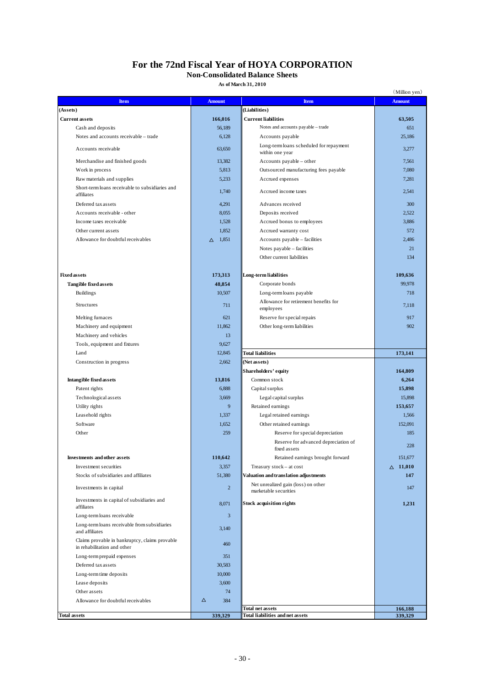# **For the 72nd Fiscal Year of HOYA CORPORATION**

# **Non-Consolidated Balance Sheets**

**As of March 31, 2010**

|                                                                  |                   |                                                              | (Million yen)      |
|------------------------------------------------------------------|-------------------|--------------------------------------------------------------|--------------------|
| Item                                                             | <b>Amount</b>     | <b>Item</b>                                                  | <b>Amount</b>      |
| (Assets)                                                         |                   | (Liabilities)                                                |                    |
| <b>Current assets</b>                                            | 166,016           | <b>Current liabilities</b>                                   | 63,505             |
| Cash and deposits                                                | 56,189            | Notes and accounts payable - trade                           | 651                |
| Notes and accounts receivable - trade                            | 6,128             | Accounts payable                                             | 25,186             |
| Accounts receivable                                              | 63,650            | Long-term loans scheduled for repayment<br>within one year   | 3,277              |
| Merchandise and finished goods                                   | 13,382            | Accounts payable – other                                     | 7,561              |
| Work in process                                                  | 5,813             | Outsourced manufacturing fees payable                        | 7,080              |
| Raw materials and supplies                                       | 5,233             | Accrued expenses                                             | 7,281              |
| Short-term loans receivable to subsidiaries and<br>affiliates    | 1,740             | Accrued income taxes                                         | 2,541              |
| Deferred tax assets                                              | 4,291             | Advances received                                            | 300                |
| Accounts receivable - other                                      | 8,055             | Deposits received                                            | 2,522              |
| Income taxes receivable                                          | 1,528             | Accrued bonus to employees                                   | 3,886              |
| Other current assets                                             | 1,852             | Accrued warranty cost                                        | 572                |
| Allowance for doubtful receivables                               | $\triangle$ 1,851 | Accounts payable - facilities                                | 2,486              |
|                                                                  |                   | Notes payable - facilities                                   | 21                 |
|                                                                  |                   | Other current liabilities                                    | 134                |
| <b>Fixed assets</b>                                              | 173,313           | Long-term liabilities                                        | 109,636            |
| <b>Tangible fixed assets</b>                                     | 48,854            | Corporate bonds                                              | 99,978             |
| <b>Buildings</b>                                                 | 10,507            | Long-term loans payable                                      | 718                |
| Structures                                                       | 711               | Allowance for retirement benefits for                        | 7,118              |
|                                                                  |                   | employees                                                    |                    |
| Melting furnaces                                                 | 621               | Reserve for special repairs                                  | 917                |
| Machinery and equipment                                          | 11,862            | Other long-term liabilities                                  | 902                |
| Machinery and vehicles                                           | 13                |                                                              |                    |
| Tools, equipment and fixtures                                    | 9,627             |                                                              |                    |
| Land                                                             | 12,845            | <b>Total liabilities</b>                                     | 173,141            |
| Construction in progress                                         | 2,662             | (Net assets)<br>Shareholders' equity                         | 164,809            |
| <b>Intangible fixed assets</b>                                   | 13,816            | Common stock                                                 | 6,264              |
| Patent rights                                                    | 6,888             | Capital surplus                                              | 15,898             |
| Technological assets                                             | 3,669             | Legal capital surplus                                        | 15,898             |
| Utility rights                                                   | 9                 | Retained earnings                                            | 153,657            |
| Leasehold rights                                                 | 1,337             | Legal retained earnings                                      | 1,566              |
| Software                                                         | 1,652             | Other retained earnings                                      | 152,091            |
| Other                                                            | 259               | Reserve for special depreciation                             | 185                |
|                                                                  |                   | Reserve for advanced depreciation of<br>fixed assets         | 228                |
| Investments and other assets                                     | 110,642           | Retained earnings brought forward                            | 151,677            |
| Investment securities                                            | 3,357             | Treasury stock - at cost                                     | $\triangle$ 11,010 |
| Stocks of subsidiaries and affiliates                            | 51,380            | Valuation and translation adjustments                        | 147                |
| Investments in capital                                           | $\overline{c}$    | Net unrealized gain (loss) on other<br>marketable securities | 147                |
| Investments in capital of subsidiaries and<br>affiliates         | 8,071             | <b>Stock acquisition rights</b>                              | 1,231              |
| Long-term loans receivable                                       | 3                 |                                                              |                    |
| Long-term loans receivable from subsidiaries                     |                   |                                                              |                    |
| and affiliates<br>Claims provable in bankruptcy, claims provable | 3,140             |                                                              |                    |
| in rehabilitation and other                                      | 460               |                                                              |                    |
| Long-term prepaid expenses                                       | 351               |                                                              |                    |
| Deferred tax assets                                              | 30,583            |                                                              |                    |
| Long-term time deposits                                          | 10,000            |                                                              |                    |
| Lease deposits                                                   | 3,600             |                                                              |                    |
| Other assets                                                     | 74                |                                                              |                    |
| Allowance for doubtful receivables                               | $\Delta$<br>384   |                                                              |                    |
| <b>Total assets</b>                                              | 339,329           | Total net assets<br><b>Total liabilities and net assets</b>  | 166,188<br>339,329 |
|                                                                  |                   |                                                              |                    |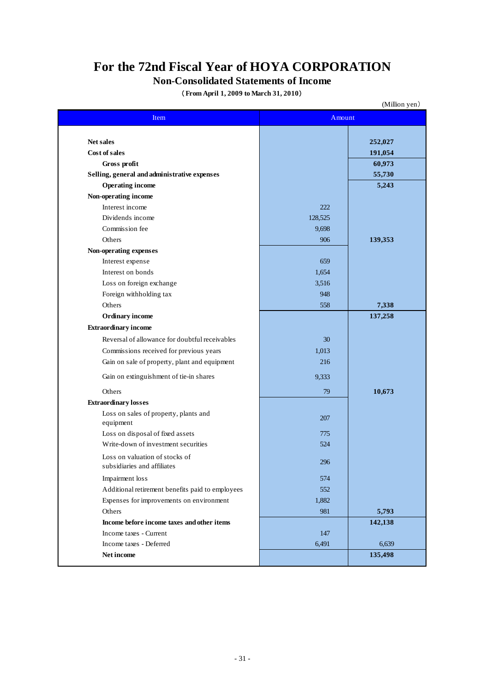# **For the 72nd Fiscal Year of HOYA CORPORATION**

# **Non-Consolidated Statements of Income**

(**From April 1, 2009 to March 31, 2010**)

|                                                    |         | (Million yen) |
|----------------------------------------------------|---------|---------------|
| Item                                               | Amount  |               |
|                                                    |         |               |
| <b>Net sales</b>                                   |         | 252,027       |
| Cost of sales                                      |         | 191,054       |
| Gross profit                                       |         | 60,973        |
| Selling, general and administrative expenses       |         | 55,730        |
| <b>Operating income</b>                            |         | 5,243         |
| Non-operating income                               |         |               |
| Interest income                                    | 222     |               |
| Dividends income                                   | 128,525 |               |
| Commission fee                                     | 9,698   |               |
| Others                                             | 906     | 139,353       |
| Non-operating expenses                             |         |               |
| Interest expense                                   | 659     |               |
| Interest on bonds                                  | 1,654   |               |
| Loss on foreign exchange                           | 3,516   |               |
| Foreign withholding tax                            | 948     |               |
| Others                                             | 558     | 7,338         |
| <b>Ordinary income</b>                             |         | 137,258       |
| <b>Extraordinary income</b>                        |         |               |
| Reversal of allowance for doubtful receivables     | 30      |               |
| Commissions received for previous years            | 1,013   |               |
| Gain on sale of property, plant and equipment      | 216     |               |
|                                                    |         |               |
| Gain on extinguishment of tie-in shares            | 9,333   |               |
| Others                                             | 79      | 10,673        |
| <b>Extraordinary losses</b>                        |         |               |
| Loss on sales of property, plants and<br>equipment | 207     |               |
| Loss on disposal of fixed assets                   | 775     |               |
| Write-down of investment securities                | 524     |               |
| Loss on valuation of stocks of                     | 296     |               |
| subsidiaries and affiliates                        |         |               |
| Impairment loss                                    | 574     |               |
| Additional retirement benefits paid to employees   | 552     |               |
| Expenses for improvements on environment           | 1,882   |               |
| Others                                             | 981     | 5,793         |
| Income before income taxes and other items         |         | 142,138       |
| Income taxes - Current                             | 147     |               |
| Income taxes - Deferred                            | 6,491   | 6,639         |
| Net income                                         |         | 135,498       |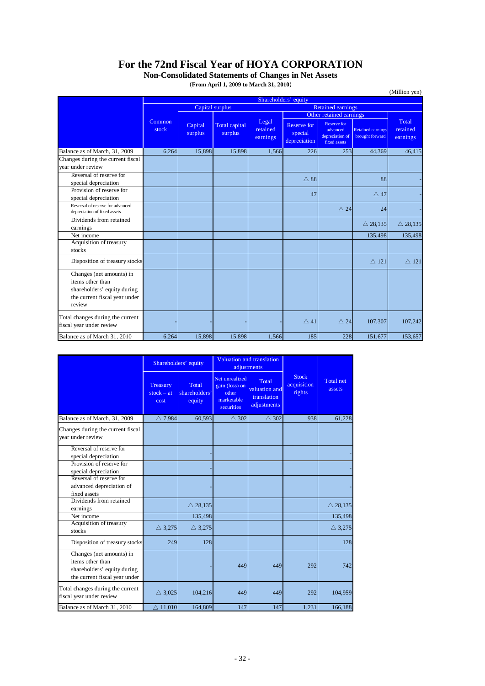# **For the 72nd Fiscal Year of HOYA CORPORATION**

(**From April 1, 2009 to March 31, 2010**) **Non-Consolidated Statements of Changes in Net Assets**

|                                                                                                                        |                 |                      |                          |                               |                                               |                                                                   |                                             | (Million yen)                 |
|------------------------------------------------------------------------------------------------------------------------|-----------------|----------------------|--------------------------|-------------------------------|-----------------------------------------------|-------------------------------------------------------------------|---------------------------------------------|-------------------------------|
|                                                                                                                        |                 | Shareholders' equity |                          |                               |                                               |                                                                   |                                             |                               |
|                                                                                                                        |                 |                      | Capital surplus          |                               |                                               | <b>Retained earnings</b>                                          |                                             |                               |
|                                                                                                                        |                 |                      |                          |                               |                                               | Other retained earnings                                           |                                             |                               |
|                                                                                                                        | Common<br>stock | Capital<br>surplus   | Total capital<br>surplus | Legal<br>retained<br>earnings | <b>Reserve for</b><br>special<br>depreciation | <b>Reserve for</b><br>advanced<br>depreciation of<br>fixed assets | <b>Retained earnings</b><br>brought forward | Total<br>retained<br>earnings |
| Balance as of March, 31, 2009                                                                                          | 6,264           | 15,898               | 15,898                   | 1,566                         | 226                                           | 253                                                               | 44,369                                      | 46,415                        |
| Changes during the current fiscal                                                                                      |                 |                      |                          |                               |                                               |                                                                   |                                             |                               |
| vear under review                                                                                                      |                 |                      |                          |                               |                                               |                                                                   |                                             |                               |
| Reversal of reserve for<br>special depreciation                                                                        |                 |                      |                          |                               | $\triangle$ 88                                |                                                                   | 88                                          |                               |
| Provision of reserve for<br>special depreciation                                                                       |                 |                      |                          |                               | 47                                            |                                                                   | $\triangle$ 47                              |                               |
| Reversal of reserve for advanced<br>depreciation of fixed assets                                                       |                 |                      |                          |                               |                                               | $\triangle$ 24                                                    | 24                                          |                               |
| Dividends from retained<br>earnings                                                                                    |                 |                      |                          |                               |                                               |                                                                   | $\triangle$ 28,135                          | $\triangle$ 28,135            |
| Net income                                                                                                             |                 |                      |                          |                               |                                               |                                                                   | 135,498                                     | 135,498                       |
| Acquisition of treasury<br>stocks                                                                                      |                 |                      |                          |                               |                                               |                                                                   |                                             |                               |
| Disposition of treasury stocks                                                                                         |                 |                      |                          |                               |                                               |                                                                   | $\triangle$ 121                             | $\triangle$ 121               |
| Changes (net amounts) in<br>items other than<br>shareholders' equity during<br>the current fiscal year under<br>review |                 |                      |                          |                               |                                               |                                                                   |                                             |                               |
| Total changes during the current<br>fiscal year under review                                                           |                 |                      |                          |                               | $\triangle$ 41                                | $\triangle$ 24                                                    | 107,307                                     | 107,242                       |
| Balance as of March 31, 2010                                                                                           | 6.264           | 15.898               | 15.898                   | 1.566                         | 185                                           | 228                                                               | 151,677                                     | 153,657                       |

|                                                                                                              | Shareholders' equity             |                                  | Valuation and translation<br>adjustments                              |                                                      |                                       |                            |
|--------------------------------------------------------------------------------------------------------------|----------------------------------|----------------------------------|-----------------------------------------------------------------------|------------------------------------------------------|---------------------------------------|----------------------------|
|                                                                                                              | Treasury<br>$stock - at$<br>cost | Total<br>shareholders'<br>equity | Net unrealized<br>gain (loss) on<br>other<br>marketable<br>securities | Total<br>valuation and<br>translation<br>adjustments | <b>Stock</b><br>acquisition<br>rights | <b>Total net</b><br>assets |
| Balance as of March, 31, 2009                                                                                | $\triangle$ 7,984                | 60.593                           | $\triangle$ 302                                                       | $\triangle$ 302                                      | 938                                   | 61,228                     |
| Changes during the current fiscal<br>vear under review                                                       |                                  |                                  |                                                                       |                                                      |                                       |                            |
| Reversal of reserve for<br>special depreciation                                                              |                                  |                                  |                                                                       |                                                      |                                       |                            |
| Provision of reserve for<br>special depreciation                                                             |                                  |                                  |                                                                       |                                                      |                                       |                            |
| Reversal of reserve for<br>advanced depreciation of<br>fixed assets                                          |                                  |                                  |                                                                       |                                                      |                                       |                            |
| Dividends from retained<br>earnings                                                                          |                                  | $\triangle$ 28,135               |                                                                       |                                                      |                                       | $\triangle$ 28,135         |
| Net income                                                                                                   |                                  | 135,498                          |                                                                       |                                                      |                                       | 135,498                    |
| Acquisition of treasury<br>stocks                                                                            | $\triangle$ 3,275                | $\triangle$ 3,275                |                                                                       |                                                      |                                       | $\triangle$ 3,275          |
| Disposition of treasury stocks                                                                               | 249                              | 128                              |                                                                       |                                                      |                                       | 128                        |
| Changes (net amounts) in<br>items other than<br>shareholders' equity during<br>the current fiscal year under |                                  |                                  | 449                                                                   | 449                                                  | 292                                   | 742                        |
| Total changes during the current<br>fiscal year under review                                                 | $\triangle$ 3,025                | 104,216                          | 449                                                                   | 449                                                  | 292                                   | 104,959                    |
| Balance as of March 31, 2010                                                                                 | $\triangle$ 11,010               | 164,809                          | 147                                                                   | 147                                                  | 1,231                                 | 166,188                    |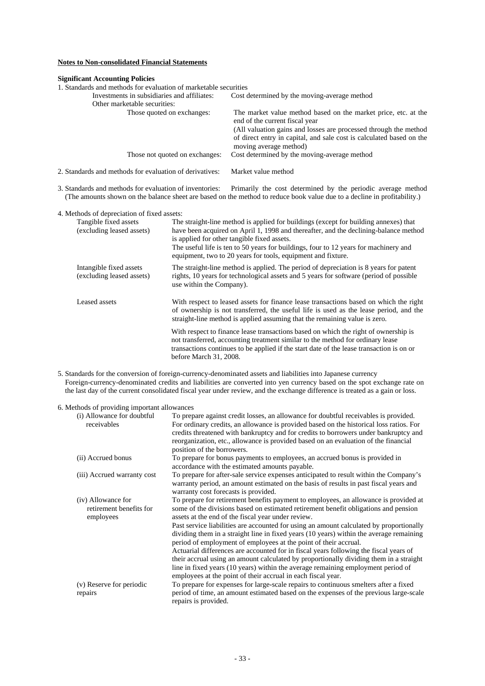# **Notes to Non-consolidated Financial Statements**

#### **Significant Accounting Policies**

1. Standards and methods for evaluation of marketable securities<br>Investments in subsidiaries and affiliates: Cost d Cost determined by the moving-average method Other marketable securities:<br>Those quoted on exchanges: The market value method based on the market price, etc. at the end of the current fiscal year (All valuation gains and losses are processed through the method of direct entry in capital, and sale cost is calculated based on the moving average method) Those not quoted on exchanges: Cost determined by the moving-average method

2. Standards and methods for evaluation of derivatives: Market value method

3. Standards and methods for evaluation of inventories: Primarily the cost determined by the periodic average method (The amounts shown on the balance sheet are based on the method to reduce book value due to a decline in profitability.)

#### 4. Methods of depreciation of fixed assets:

| Tangible fixed assets<br>(excluding leased assets)   | The straight-line method is applied for buildings (except for building annexes) that<br>have been acquired on April 1, 1998 and thereafter, and the declining-balance method<br>is applied for other tangible fixed assets.<br>The useful life is ten to 50 years for buildings, four to 12 years for machinery and<br>equipment, two to 20 years for tools, equipment and fixture. |
|------------------------------------------------------|-------------------------------------------------------------------------------------------------------------------------------------------------------------------------------------------------------------------------------------------------------------------------------------------------------------------------------------------------------------------------------------|
| Intangible fixed assets<br>(excluding leased assets) | The straight-line method is applied. The period of depreciation is 8 years for patent<br>rights, 10 years for technological assets and 5 years for software (period of possible<br>use within the Company).                                                                                                                                                                         |
| Leased assets                                        | With respect to leased assets for finance lease transactions based on which the right<br>of ownership is not transferred, the useful life is used as the lease period, and the<br>straight-line method is applied assuming that the remaining value is zero.                                                                                                                        |
|                                                      | With respect to finance lease transactions based on which the right of ownership is<br>not transferred, accounting treatment similar to the method for ordinary lease<br>transactions continues to be applied if the start date of the lease transaction is on or<br>before March 31, 2008.                                                                                         |

5. Standards for the conversion of foreign-currency-denominated assets and liabilities into Japanese currency Foreign-currency-denominated credits and liabilities are converted into yen currency based on the spot exchange rate on the last day of the current consolidated fiscal year under review, and the exchange difference is treated as a gain or loss.

### 6. Methods of providing important allowances

| (i) Allowance for doubtful<br>receivables                  | To prepare against credit losses, an allowance for doubtful receivables is provided.<br>For ordinary credits, an allowance is provided based on the historical loss ratios. For<br>credits threatened with bankruptcy and for credits to borrowers under bankruptcy and<br>reorganization, etc., allowance is provided based on an evaluation of the financial<br>position of the borrowers. |
|------------------------------------------------------------|----------------------------------------------------------------------------------------------------------------------------------------------------------------------------------------------------------------------------------------------------------------------------------------------------------------------------------------------------------------------------------------------|
| (ii) Accrued bonus                                         | To prepare for bonus payments to employees, an accrued bonus is provided in<br>accordance with the estimated amounts payable.                                                                                                                                                                                                                                                                |
| (iii) Accrued warranty cost                                | To prepare for after-sale service expenses anticipated to result within the Company's<br>warranty period, an amount estimated on the basis of results in past fiscal years and<br>warranty cost forecasts is provided.                                                                                                                                                                       |
| (iv) Allowance for<br>retirement benefits for<br>employees | To prepare for retirement benefits payment to employees, an allowance is provided at<br>some of the divisions based on estimated retirement benefit obligations and pension<br>assets at the end of the fiscal year under review.<br>Past service liabilities are accounted for using an amount calculated by proportionally                                                                 |
|                                                            | dividing them in a straight line in fixed years (10 years) within the average remaining<br>period of employment of employees at the point of their accrual.<br>Actuarial differences are accounted for in fiscal years following the fiscal years of                                                                                                                                         |
|                                                            | their accrual using an amount calculated by proportionally dividing them in a straight<br>line in fixed years (10 years) within the average remaining employment period of<br>employees at the point of their accrual in each fiscal year.                                                                                                                                                   |
| (v) Reserve for periodic<br>repairs                        | To prepare for expenses for large-scale repairs to continuous smelters after a fixed<br>period of time, an amount estimated based on the expenses of the previous large-scale<br>repairs is provided.                                                                                                                                                                                        |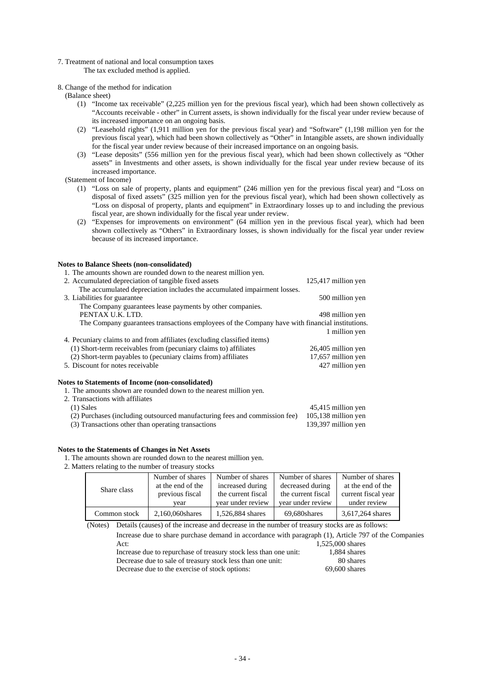- 7. Treatment of national and local consumption taxes
	- The tax excluded method is applied.
- 8. Change of the method for indication
	- (Balance sheet)
		- (1) "Income tax receivable" (2,225 million yen for the previous fiscal year), which had been shown collectively as "Accounts receivable - other" in Current assets, is shown individually for the fiscal year under review because of its increased importance on an ongoing basis.
		- (2) "Leasehold rights" (1,911 million yen for the previous fiscal year) and "Software" (1,198 million yen for the previous fiscal year), which had been shown collectively as "Other" in Intangible assets, are shown individually for the fiscal year under review because of their increased importance on an ongoing basis.
		- (3) "Lease deposits" (556 million yen for the previous fiscal year), which had been shown collectively as "Other assets" in Investments and other assets, is shown individually for the fiscal year under review because of its increased importance.

(Statement of Income)

- (1) "Loss on sale of property, plants and equipment" (246 million yen for the previous fiscal year) and "Loss on disposal of fixed assets" (325 million yen for the previous fiscal year), which had been shown collectively as "Loss on disposal of property, plants and equipment" in Extraordinary losses up to and including the previous fiscal year, are shown individually for the fiscal year under review.
- (2) "Expenses for improvements on environment" (64 million yen in the previous fiscal year), which had been shown collectively as "Others" in Extraordinary losses, is shown individually for the fiscal year under review because of its increased importance.

| <b>Notes to Balance Sheets (non-consolidated)</b>                                              |                       |
|------------------------------------------------------------------------------------------------|-----------------------|
| 1. The amounts shown are rounded down to the nearest million yen.                              |                       |
| 2. Accumulated depreciation of tangible fixed assets                                           | $125,417$ million yen |
| The accumulated depreciation includes the accumulated impairment losses.                       |                       |
| 3. Liabilities for guarantee                                                                   | 500 million yen       |
| The Company guarantees lease payments by other companies.                                      |                       |
| PENTAX U.K. LTD.                                                                               | 498 million yen       |
| The Company guarantees transactions employees of the Company have with financial institutions. |                       |
|                                                                                                | 1 million yen         |
| 4. Pecuniary claims to and from affiliates (excluding classified items)                        |                       |
| (1) Short-term receivables from (pecuniary claims to) affiliates                               | 26,405 million yen    |
| (2) Short-term payables to (pecuniary claims from) affiliates                                  | 17,657 million yen    |
| 5. Discount for notes receivable                                                               | 427 million yen       |
|                                                                                                |                       |
|                                                                                                |                       |

### **Notes to Statements of Income (non-consolidated)**

1. The amounts shown are rounded down to the nearest million yen. 2. Transactions with affiliates

| (1) Sales                                                                  | 45,415 million yen    |
|----------------------------------------------------------------------------|-----------------------|
| (2) Purchases (including outsourced manufacturing fees and commission fee) | $105,138$ million yen |
| (3) Transactions other than operating transactions                         | 139,397 million yen   |

### **Notes to the Statements of Changes in Net Assets**

1. The amounts shown are rounded down to the nearest million yen.

# 2. Matters relating to the number of treasury stocks

|                                | Number of shares  | Number of shares   | Number of shares   | Number of shares    |
|--------------------------------|-------------------|--------------------|--------------------|---------------------|
|                                | at the end of the | increased during   | decreased during   | at the end of the   |
| Share class<br>previous fiscal |                   | the current fiscal | the current fiscal | current fiscal year |
|                                | vear              | year under review  | year under review  | under review        |
| Common stock                   | 2,160,060 shares  | 1,526,884 shares   | 69.680shares       | 3,617,264 shares    |

(Notes) Details (causes) of the increase and decrease in the number of treasury stocks are as follows:

| Increase due to share purchase demand in accordance with paragraph (1), Article 797 of the Companies |                  |
|------------------------------------------------------------------------------------------------------|------------------|
| Act:                                                                                                 | 1.525,000 shares |
| Increase due to repurchase of treasury stock less than one unit:                                     | 1.884 shares     |
| Decrease due to sale of treasury stock less than one unit:                                           | 80 shares        |
|                                                                                                      | $-0$ $-0$ $-1$   |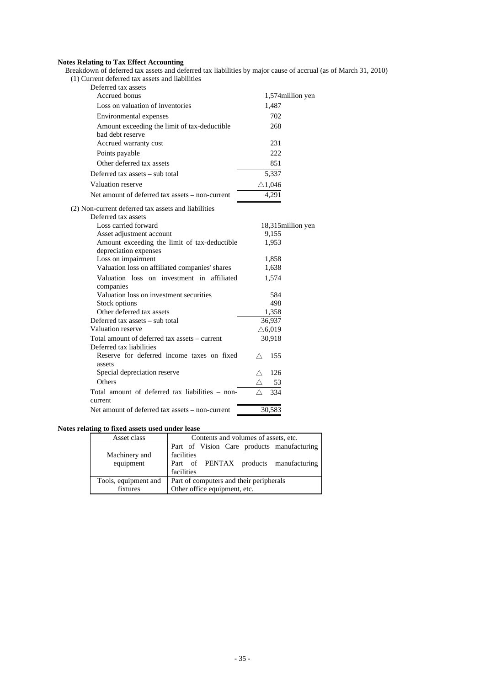#### **Notes Relating to Tax Effect Accounting**

Breakdown of deferred tax assets and deferred tax liabilities by major cause of accrual (as of March 31, 2010)

(1) Current deferred tax assets and liabilities

| Deferred tax assets                                                        |                    |
|----------------------------------------------------------------------------|--------------------|
| Accrued bonus                                                              | 1,574 million yen  |
| Loss on valuation of inventories                                           | 1,487              |
| Environmental expenses                                                     | 702                |
| Amount exceeding the limit of tax-deductible<br>bad debt reserve           | 268                |
| Accrued warranty cost                                                      | 231                |
| Points payable                                                             | 222                |
| Other deferred tax assets                                                  | 851                |
| Deferred tax assets - sub total                                            | 5,337              |
| Valuation reserve                                                          | $\triangle$ 1,046  |
| Net amount of deferred tax assets – non-current                            | 4,291              |
| (2) Non-current deferred tax assets and liabilities<br>Deferred tax assets |                    |
| Loss carried forward                                                       | 18,315 million yen |
| Asset adjustment account                                                   | 9,155              |
| Amount exceeding the limit of tax-deductible                               | 1,953              |
| depreciation expenses                                                      |                    |
| Loss on impairment                                                         | 1,858              |
| Valuation loss on affiliated companies' shares                             | 1,638              |
| Valuation loss on investment in affiliated<br>companies                    | 1,574              |
| Valuation loss on investment securities                                    | 584                |
| Stock options                                                              | 498                |
| Other deferred tax assets                                                  | 1,358              |
| Deferred tax assets – sub total                                            | 36,937             |
| Valuation reserve                                                          | $\triangle$ 6,019  |
| Total amount of deferred tax assets - current<br>Deferred tax liabilities  | 30,918             |
| Reserve for deferred income taxes on fixed<br>assets                       | 155                |
| Special depreciation reserve                                               | 126<br>Λ           |
| Others                                                                     | 53                 |
| Total amount of deferred tax liabilities - non-<br>current                 | 334                |
| Net amount of deferred tax assets – non-current                            | 30,583             |
|                                                                            |                    |

# **Notes relating to fixed assets used under lease**

| Asset class          | Contents and volumes of assets, etc.       |  |  |
|----------------------|--------------------------------------------|--|--|
|                      | Part of Vision Care products manufacturing |  |  |
| Machinery and        | facilities                                 |  |  |
| equipment            | Part of PENTAX products manufacturing      |  |  |
|                      | facilities                                 |  |  |
| Tools, equipment and | Part of computers and their peripherals    |  |  |
| fixtures             | Other office equipment, etc.               |  |  |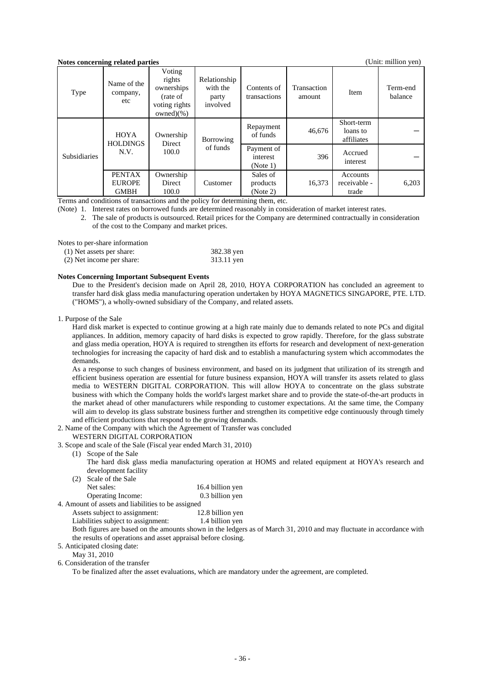# **Notes concerning related parties** (Unit: million yen)

| TWEE CONCETTING TURKED DAT LES<br>тошт. пшпон усп <i>і</i> |                                               |                                                                               |                                               |                                  |                       |                                      |                     |
|------------------------------------------------------------|-----------------------------------------------|-------------------------------------------------------------------------------|-----------------------------------------------|----------------------------------|-----------------------|--------------------------------------|---------------------|
| Type                                                       | Name of the<br>company,<br>etc                | Voting<br>rights<br>ownerships<br>(rate of<br>voting rights<br>owned $)(\% )$ | Relationship<br>with the<br>party<br>involved | Contents of<br>transactions      | Transaction<br>amount | Item                                 | Term-end<br>balance |
| <b>Subsidiaries</b>                                        | <b>HOYA</b><br><b>HOLDINGS</b><br>N.V.        | Ownership<br>Borrowing<br>Direct<br>of funds<br>100.0                         |                                               | Repayment<br>of funds            | 46,676                | Short-term<br>loans to<br>affiliates |                     |
|                                                            |                                               |                                                                               | Payment of<br>interest<br>(Note 1)            | 396                              | Accrued<br>interest   |                                      |                     |
|                                                            | <b>PENTAX</b><br><b>EUROPE</b><br><b>GMBH</b> | Ownership<br>Direct<br>100.0                                                  | Customer                                      | Sales of<br>products<br>(Note 2) | 16,373                | Accounts<br>receivable -<br>trade    | 6,203               |

Terms and conditions of transactions and the policy for determining them, etc.

(Note) 1. Interest rates on borrowed funds are determined reasonably in consideration of market interest rates.

 2. The sale of products is outsourced. Retail prices for the Company are determined contractually in consideration of the cost to the Company and market prices.

Notes to per-share information

| (1) Net assets per share: | 382.38 yen |
|---------------------------|------------|
| (2) Net income per share: | 313.11 yen |

#### **Notes Concerning Important Subsequent Events**

Due to the President's decision made on April 28, 2010, HOYA CORPORATION has concluded an agreement to transfer hard disk glass media manufacturing operation undertaken by HOYA MAGNETICS SINGAPORE, PTE. LTD. ("HOMS"), a wholly-owned subsidiary of the Company, and related assets.

1. Purpose of the Sale

Hard disk market is expected to continue growing at a high rate mainly due to demands related to note PCs and digital appliances. In addition, memory capacity of hard disks is expected to grow rapidly. Therefore, for the glass substrate and glass media operation, HOYA is required to strengthen its efforts for research and development of next-generation technologies for increasing the capacity of hard disk and to establish a manufacturing system which accommodates the demands.

As a response to such changes of business environment, and based on its judgment that utilization of its strength and efficient business operation are essential for future business expansion, HOYA will transfer its assets related to glass media to WESTERN DIGITAL CORPORATION. This will allow HOYA to concentrate on the glass substrate business with which the Company holds the world's largest market share and to provide the state-of-the-art products in the market ahead of other manufacturers while responding to customer expectations. At the same time, the Company will aim to develop its glass substrate business further and strengthen its competitive edge continuously through timely and efficient productions that respond to the growing demands.

2. Name of the Company with which the Agreement of Transfer was concluded

#### WESTERN DIGITAL CORPORATION

- 3. Scope and scale of the Sale (Fiscal year ended March 31, 2010)
	- (1) Scope of the Sale

The hard disk glass media manufacturing operation at HOMS and related equipment at HOYA's research and development facility

| (2) Scale of the Sale                                                                                              |                  |
|--------------------------------------------------------------------------------------------------------------------|------------------|
| Net sales:                                                                                                         | 16.4 billion yen |
| <b>Operating Income:</b>                                                                                           | 0.3 billion yen  |
| $\sim$ 0 $\sim$ 0 $\sim$ 0 $\sim$ 0 $\sim$ 0 $\sim$ 0 $\sim$ 0 $\sim$ 0 $\sim$ 0 $\sim$ 0 $\sim$ 0 $\sim$ 0 $\sim$ |                  |

4. Amount of assets and liabilities to be assigned

Assets subject to assignment: 12.8 billion yen

Liabilities subject to assignment: 1.4 billion yen

Both figures are based on the amounts shown in the ledgers as of March 31, 2010 and may fluctuate in accordance with the results of operations and asset appraisal before closing.

5. Anticipated closing date:

May 31, 2010

6. Consideration of the transfer

To be finalized after the asset evaluations, which are mandatory under the agreement, are completed.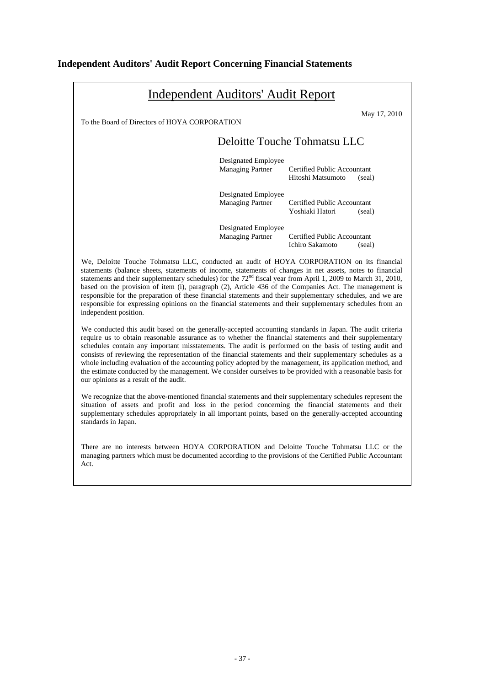# **Independent Auditors' Audit Report Concerning Financial Statements**

|                                                                                                                                                                                                                                                                                                                                                                                                                                                                                                                                                                                                                                                                                                                       | <b>Independent Auditors' Audit Report</b>      |                                                         |              |
|-----------------------------------------------------------------------------------------------------------------------------------------------------------------------------------------------------------------------------------------------------------------------------------------------------------------------------------------------------------------------------------------------------------------------------------------------------------------------------------------------------------------------------------------------------------------------------------------------------------------------------------------------------------------------------------------------------------------------|------------------------------------------------|---------------------------------------------------------|--------------|
| To the Board of Directors of HOYA CORPORATION                                                                                                                                                                                                                                                                                                                                                                                                                                                                                                                                                                                                                                                                         |                                                |                                                         | May 17, 2010 |
|                                                                                                                                                                                                                                                                                                                                                                                                                                                                                                                                                                                                                                                                                                                       |                                                | Deloitte Touche Tohmatsu LLC                            |              |
|                                                                                                                                                                                                                                                                                                                                                                                                                                                                                                                                                                                                                                                                                                                       | Designated Employee<br><b>Managing Partner</b> | <b>Certified Public Accountant</b><br>Hitoshi Matsumoto | (seal)       |
|                                                                                                                                                                                                                                                                                                                                                                                                                                                                                                                                                                                                                                                                                                                       | Designated Employee<br><b>Managing Partner</b> | Certified Public Accountant<br>Yoshiaki Hatori          | (seal)       |
|                                                                                                                                                                                                                                                                                                                                                                                                                                                                                                                                                                                                                                                                                                                       | Designated Employee<br><b>Managing Partner</b> | Certified Public Accountant<br>Ichiro Sakamoto          | (seal)       |
| We, Deloitte Touche Tohmatsu LLC, conducted an audit of HOYA CORPORATION on its financial<br>statements (balance sheets, statements of income, statements of changes in net assets, notes to financial<br>statements and their supplementary schedules) for the $72nd$ fiscal year from April 1, 2009 to March 31, 2010,<br>based on the provision of item (i), paragraph (2), Article 436 of the Companies Act. The management is<br>responsible for the preparation of these financial statements and their supplementary schedules, and we are<br>responsible for expressing opinions on the financial statements and their supplementary schedules from an<br>independent position.                               |                                                |                                                         |              |
| We conducted this audit based on the generally-accepted accounting standards in Japan. The audit criteria<br>require us to obtain reasonable assurance as to whether the financial statements and their supplementary<br>schedules contain any important misstatements. The audit is performed on the basis of testing audit and<br>consists of reviewing the representation of the financial statements and their supplementary schedules as a<br>whole including evaluation of the accounting policy adopted by the management, its application method, and<br>the estimate conducted by the management. We consider ourselves to be provided with a reasonable basis for<br>our opinions as a result of the audit. |                                                |                                                         |              |
| We recognize that the above-mentioned financial statements and their supplementary schedules represent the<br>situation of assets and profit and loss in the period concerning the financial statements and their<br>supplementary schedules appropriately in all important points, based on the generally-accepted accounting<br>standards in Japan.                                                                                                                                                                                                                                                                                                                                                                 |                                                |                                                         |              |
| There are no interests between HOYA CORPORATION and Deloitte Touche Tohmatsu LLC or the<br>managing partners which must be documented according to the provisions of the Certified Public Accountant<br>Act.                                                                                                                                                                                                                                                                                                                                                                                                                                                                                                          |                                                |                                                         |              |
|                                                                                                                                                                                                                                                                                                                                                                                                                                                                                                                                                                                                                                                                                                                       |                                                |                                                         |              |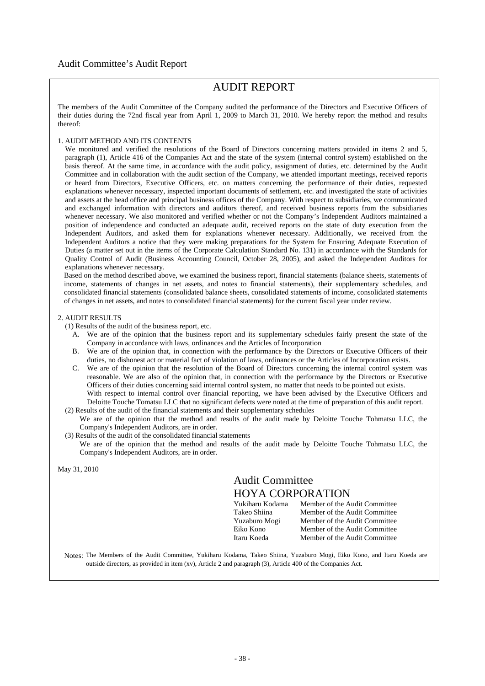# Audit Committee's Audit Report

# AUDIT REPORT

The members of the Audit Committee of the Company audited the performance of the Directors and Executive Officers of their duties during the 72nd fiscal year from April 1, 2009 to March 31, 2010. We hereby report the method and results thereof:

# 1. AUDIT METHOD AND ITS CONTENTS

We monitored and verified the resolutions of the Board of Directors concerning matters provided in items 2 and 5, paragraph (1), Article 416 of the Companies Act and the state of the system (internal control system) established on the basis thereof. At the same time, in accordance with the audit policy, assignment of duties, etc. determined by the Audit Committee and in collaboration with the audit section of the Company, we attended important meetings, received reports or heard from Directors, Executive Officers, etc. on matters concerning the performance of their duties, requested explanations whenever necessary, inspected important documents of settlement, etc. and investigated the state of activities and assets at the head office and principal business offices of the Company. With respect to subsidiaries, we communicated and exchanged information with directors and auditors thereof, and received business reports from the subsidiaries whenever necessary. We also monitored and verified whether or not the Company's Independent Auditors maintained a position of independence and conducted an adequate audit, received reports on the state of duty execution from the Independent Auditors, and asked them for explanations whenever necessary. Additionally, we received from the Independent Auditors a notice that they were making preparations for the System for Ensuring Adequate Execution of Duties (a matter set out in the items of the Corporate Calculation Standard No. 131) in accordance with the Standards for Quality Control of Audit (Business Accounting Council, October 28, 2005), and asked the Independent Auditors for explanations whenever necessary.

Based on the method described above, we examined the business report, financial statements (balance sheets, statements of income, statements of changes in net assets, and notes to financial statements), their supplementary schedules, and consolidated financial statements (consolidated balance sheets, consolidated statements of income, consolidated statements of changes in net assets, and notes to consolidated financial statements) for the current fiscal year under review.

#### 2. AUDIT RESULTS

(1) Results of the audit of the business report, etc.

- A. We are of the opinion that the business report and its supplementary schedules fairly present the state of the Company in accordance with laws, ordinances and the Articles of Incorporation
- B. We are of the opinion that, in connection with the performance by the Directors or Executive Officers of their duties, no dishonest act or material fact of violation of laws, ordinances or the Articles of Incorporation exists.
- C. We are of the opinion that the resolution of the Board of Directors concerning the internal control system was reasonable. We are also of the opinion that, in connection with the performance by the Directors or Executive Officers of their duties concerning said internal control system, no matter that needs to be pointed out exists. With respect to internal control over financial reporting, we have been advised by the Executive Officers and Deloitte Touche Tomatsu LLC that no significant defects were noted at the time of preparation of this audit report.
- (2) Results of the audit of the financial statements and their supplementary schedules We are of the opinion that the method and results of the audit made by Deloitte Touche Tohmatsu LLC, the Company's Independent Auditors, are in order.
- (3) Results of the audit of the consolidated financial statements

We are of the opinion that the method and results of the audit made by Deloitte Touche Tohmatsu LLC, the Company's Independent Auditors, are in order.

May 31, 2010

# Audit Committee HOYA CORPORATION

| Yukiharu Kodama | Member of the Audit Committee |
|-----------------|-------------------------------|
| Takeo Shiina    | Member of the Audit Committee |
| Yuzaburo Mogi   | Member of the Audit Committee |
| Eiko Kono       | Member of the Audit Committee |
| Itaru Koeda     | Member of the Audit Committee |

Notes: The Members of the Audit Committee, Yukiharu Kodama, Takeo Shiina, Yuzaburo Mogi, Eiko Kono, and Itaru Koeda are outside directors, as provided in item (xv), Article 2 and paragraph (3), Article 400 of the Companies Act.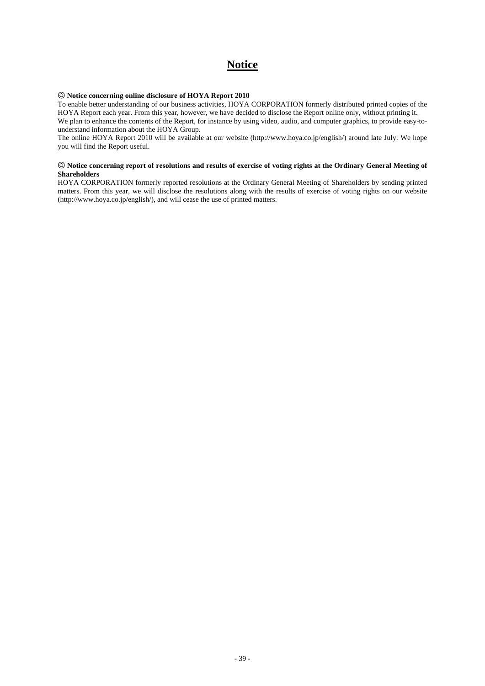# **Notice**

# ◎ **Notice concerning online disclosure of HOYA Report 2010**

To enable better understanding of our business activities, HOYA CORPORATION formerly distributed printed copies of the HOYA Report each year. From this year, however, we have decided to disclose the Report online only, without printing it. We plan to enhance the contents of the Report, for instance by using video, audio, and computer graphics, to provide easy-tounderstand information about the HOYA Group.

The online HOYA Report 2010 will be available at our website (http://www.hoya.co.jp/english/) around late July. We hope you will find the Report useful.

## ◎ **Notice concerning report of resolutions and results of exercise of voting rights at the Ordinary General Meeting of Shareholders**

HOYA CORPORATION formerly reported resolutions at the Ordinary General Meeting of Shareholders by sending printed matters. From this year, we will disclose the resolutions along with the results of exercise of voting rights on our website (http://www.hoya.co.jp/english/), and will cease the use of printed matters.